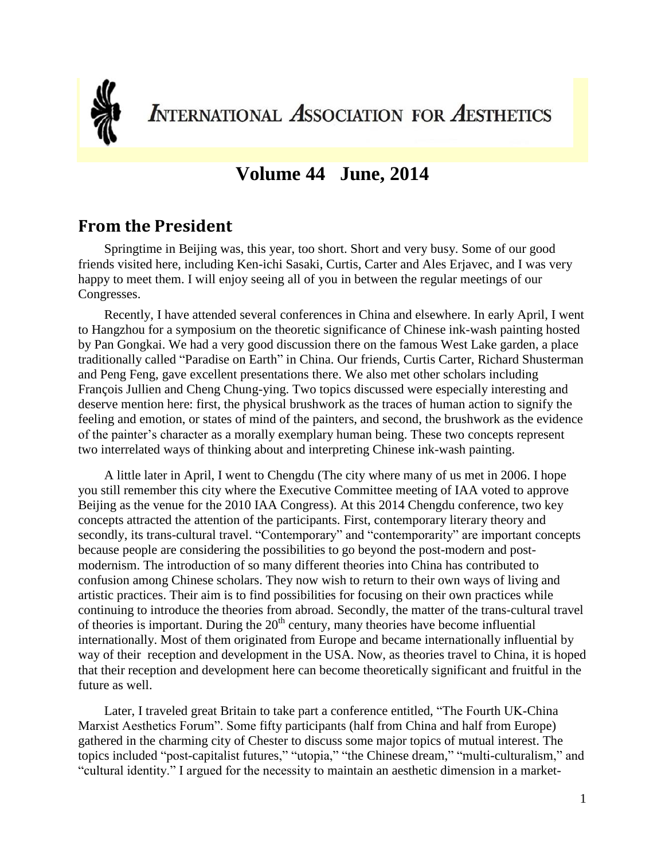

**INTERNATIONAL ASSOCIATION FOR AESTHETICS** 

# **Volume 44 June, 2014**

### **From the President**

Springtime in Beijing was, this year, too short. Short and very busy. Some of our good friends visited here, including Ken-ichi Sasaki, Curtis, Carter and Ales Erjavec, and I was very happy to meet them. I will enjoy seeing all of you in between the regular meetings of our Congresses.

Recently, I have attended several conferences in China and elsewhere. In early April, I went to Hangzhou for a symposium on the theoretic significance of Chinese ink-wash painting hosted by Pan Gongkai. We had a very good discussion there on the famous West Lake garden, a place traditionally called "Paradise on Earth" in China. Our friends, Curtis Carter, Richard Shusterman and Peng Feng, gave excellent presentations there. We also met other scholars including François Jullien and Cheng Chung-ying. Two topics discussed were especially interesting and deserve mention here: first, the physical brushwork as the traces of human action to signify the feeling and emotion, or states of mind of the painters, and second, the brushwork as the evidence of the painter's character as a morally exemplary human being. These two concepts represent two interrelated ways of thinking about and interpreting Chinese ink-wash painting.

A little later in April, I went to Chengdu (The city where many of us met in 2006. I hope you still remember this city where the Executive Committee meeting of IAA voted to approve Beijing as the venue for the 2010 IAA Congress). At this 2014 Chengdu conference, two key concepts attracted the attention of the participants. First, contemporary literary theory and secondly, its trans-cultural travel. "Contemporary" and "contemporarity" are important concepts because people are considering the possibilities to go beyond the post-modern and postmodernism. The introduction of so many different theories into China has contributed to confusion among Chinese scholars. They now wish to return to their own ways of living and artistic practices. Their aim is to find possibilities for focusing on their own practices while continuing to introduce the theories from abroad. Secondly, the matter of the trans-cultural travel of theories is important. During the  $20<sup>th</sup>$  century, many theories have become influential internationally. Most of them originated from Europe and became internationally influential by way of their reception and development in the USA. Now, as theories travel to China, it is hoped that their reception and development here can become theoretically significant and fruitful in the future as well.

Later, I traveled great Britain to take part a conference entitled, "The Fourth UK-China Marxist Aesthetics Forum". Some fifty participants (half from China and half from Europe) gathered in the charming city of Chester to discuss some major topics of mutual interest. The topics included "post-capitalist futures," "utopia," "the Chinese dream," "multi-culturalism," and "cultural identity." I argued for the necessity to maintain an aesthetic dimension in a market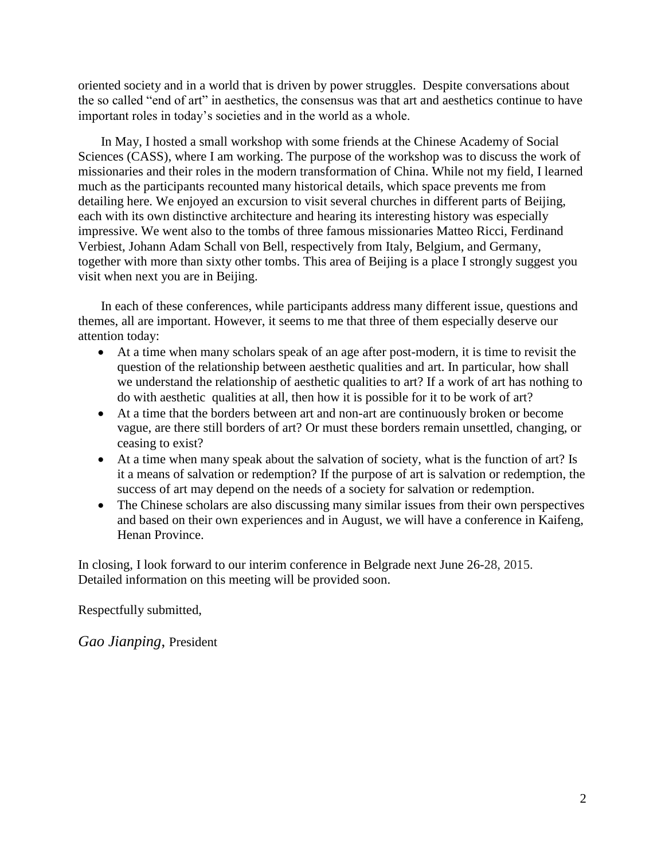oriented society and in a world that is driven by power struggles. Despite conversations about the so called "end of art" in aesthetics, the consensus was that art and aesthetics continue to have important roles in today's societies and in the world as a whole.

In May, I hosted a small workshop with some friends at the Chinese Academy of Social Sciences (CASS), where I am working. The purpose of the workshop was to discuss the work of missionaries and their roles in the modern transformation of China. While not my field, I learned much as the participants recounted many historical details, which space prevents me from detailing here. We enjoyed an excursion to visit several churches in different parts of Beijing, each with its own distinctive architecture and hearing its interesting history was especially impressive. We went also to the tombs of three famous missionaries Matteo Ricci, Ferdinand Verbiest, Johann Adam Schall von Bell, respectively from Italy, Belgium, and Germany, together with more than sixty other tombs. This area of Beijing is a place I strongly suggest you visit when next you are in Beijing.

In each of these conferences, while participants address many different issue, questions and themes, all are important. However, it seems to me that three of them especially deserve our attention today:

- At a time when many scholars speak of an age after post-modern, it is time to revisit the question of the relationship between aesthetic qualities and art. In particular, how shall we understand the relationship of aesthetic qualities to art? If a work of art has nothing to do with aesthetic qualities at all, then how it is possible for it to be work of art?
- At a time that the borders between art and non-art are continuously broken or become vague, are there still borders of art? Or must these borders remain unsettled, changing, or ceasing to exist?
- At a time when many speak about the salvation of society, what is the function of art? Is it a means of salvation or redemption? If the purpose of art is salvation or redemption, the success of art may depend on the needs of a society for salvation or redemption.
- The Chinese scholars are also discussing many similar issues from their own perspectives and based on their own experiences and in August, we will have a conference in Kaifeng, Henan Province.

In closing, I look forward to our interim conference in Belgrade next June 26-28, 2015. Detailed information on this meeting will be provided soon.

Respectfully submitted,

*Gao Jianping*, President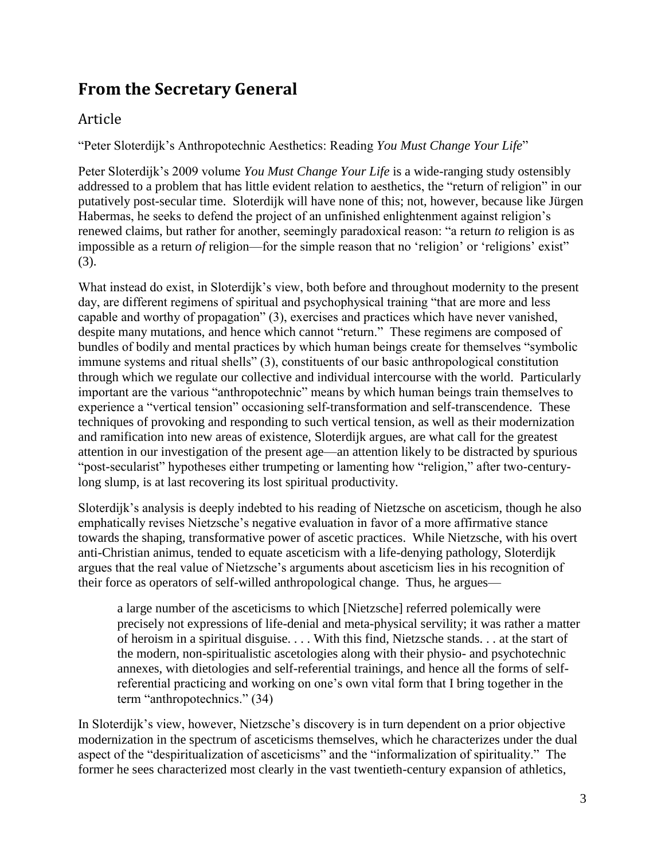# **From the Secretary General**

### Article

"Peter Sloterdijk's Anthropotechnic Aesthetics: Reading *You Must Change Your Life*"

Peter Sloterdijk's 2009 volume *You Must Change Your Life* is a wide-ranging study ostensibly addressed to a problem that has little evident relation to aesthetics, the "return of religion" in our putatively post-secular time. Sloterdijk will have none of this; not, however, because like Jürgen Habermas, he seeks to defend the project of an unfinished enlightenment against religion's renewed claims, but rather for another, seemingly paradoxical reason: "a return *to* religion is as impossible as a return *of* religion—for the simple reason that no 'religion' or 'religions' exist" (3).

What instead do exist, in Sloterdijk's view, both before and throughout modernity to the present day, are different regimens of spiritual and psychophysical training "that are more and less capable and worthy of propagation" (3), exercises and practices which have never vanished, despite many mutations, and hence which cannot "return." These regimens are composed of bundles of bodily and mental practices by which human beings create for themselves "symbolic immune systems and ritual shells" (3), constituents of our basic anthropological constitution through which we regulate our collective and individual intercourse with the world. Particularly important are the various "anthropotechnic" means by which human beings train themselves to experience a "vertical tension" occasioning self-transformation and self-transcendence. These techniques of provoking and responding to such vertical tension, as well as their modernization and ramification into new areas of existence, Sloterdijk argues, are what call for the greatest attention in our investigation of the present age—an attention likely to be distracted by spurious "post-secularist" hypotheses either trumpeting or lamenting how "religion," after two-centurylong slump, is at last recovering its lost spiritual productivity.

Sloterdijk's analysis is deeply indebted to his reading of Nietzsche on asceticism, though he also emphatically revises Nietzsche's negative evaluation in favor of a more affirmative stance towards the shaping, transformative power of ascetic practices. While Nietzsche, with his overt anti-Christian animus, tended to equate asceticism with a life-denying pathology, Sloterdijk argues that the real value of Nietzsche's arguments about asceticism lies in his recognition of their force as operators of self-willed anthropological change. Thus, he argues—

a large number of the asceticisms to which [Nietzsche] referred polemically were precisely not expressions of life-denial and meta-physical servility; it was rather a matter of heroism in a spiritual disguise. . . . With this find, Nietzsche stands. . . at the start of the modern, non-spiritualistic ascetologies along with their physio- and psychotechnic annexes, with dietologies and self-referential trainings, and hence all the forms of selfreferential practicing and working on one's own vital form that I bring together in the term "anthropotechnics." (34)

In Sloterdijk's view, however, Nietzsche's discovery is in turn dependent on a prior objective modernization in the spectrum of asceticisms themselves, which he characterizes under the dual aspect of the "despiritualization of asceticisms" and the "informalization of spirituality." The former he sees characterized most clearly in the vast twentieth-century expansion of athletics,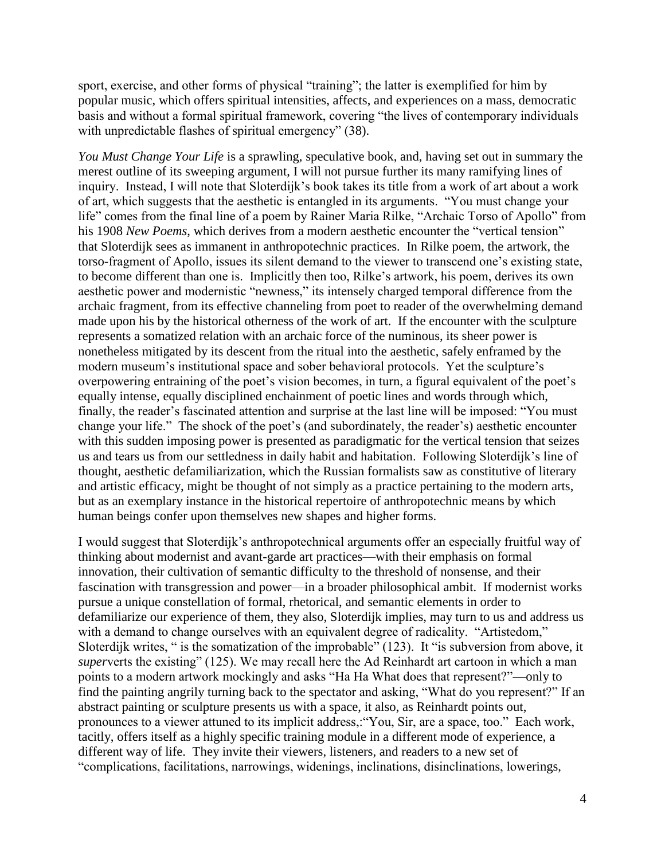sport, exercise, and other forms of physical "training"; the latter is exemplified for him by popular music, which offers spiritual intensities, affects, and experiences on a mass, democratic basis and without a formal spiritual framework, covering "the lives of contemporary individuals with unpredictable flashes of spiritual emergency" (38).

*You Must Change Your Life* is a sprawling, speculative book, and, having set out in summary the merest outline of its sweeping argument, I will not pursue further its many ramifying lines of inquiry. Instead, I will note that Sloterdijk's book takes its title from a work of art about a work of art, which suggests that the aesthetic is entangled in its arguments. "You must change your life" comes from the final line of a poem by Rainer Maria Rilke, "Archaic Torso of Apollo" from his 1908 *New Poems*, which derives from a modern aesthetic encounter the "vertical tension" that Sloterdijk sees as immanent in anthropotechnic practices. In Rilke poem, the artwork, the torso-fragment of Apollo, issues its silent demand to the viewer to transcend one's existing state, to become different than one is. Implicitly then too, Rilke's artwork, his poem, derives its own aesthetic power and modernistic "newness," its intensely charged temporal difference from the archaic fragment, from its effective channeling from poet to reader of the overwhelming demand made upon his by the historical otherness of the work of art. If the encounter with the sculpture represents a somatized relation with an archaic force of the numinous, its sheer power is nonetheless mitigated by its descent from the ritual into the aesthetic, safely enframed by the modern museum's institutional space and sober behavioral protocols. Yet the sculpture's overpowering entraining of the poet's vision becomes, in turn, a figural equivalent of the poet's equally intense, equally disciplined enchainment of poetic lines and words through which, finally, the reader's fascinated attention and surprise at the last line will be imposed: "You must change your life." The shock of the poet's (and subordinately, the reader's) aesthetic encounter with this sudden imposing power is presented as paradigmatic for the vertical tension that seizes us and tears us from our settledness in daily habit and habitation. Following Sloterdijk's line of thought, aesthetic defamiliarization, which the Russian formalists saw as constitutive of literary and artistic efficacy, might be thought of not simply as a practice pertaining to the modern arts, but as an exemplary instance in the historical repertoire of anthropotechnic means by which human beings confer upon themselves new shapes and higher forms.

I would suggest that Sloterdijk's anthropotechnical arguments offer an especially fruitful way of thinking about modernist and avant-garde art practices—with their emphasis on formal innovation, their cultivation of semantic difficulty to the threshold of nonsense, and their fascination with transgression and power—in a broader philosophical ambit. If modernist works pursue a unique constellation of formal, rhetorical, and semantic elements in order to defamiliarize our experience of them, they also, Sloterdijk implies, may turn to us and address us with a demand to change ourselves with an equivalent degree of radicality. "Artistedom," Sloterdijk writes, " is the somatization of the improbable" (123). It "is subversion from above, it *super*verts the existing" (125). We may recall here the Ad Reinhardt art cartoon in which a man points to a modern artwork mockingly and asks "Ha Ha What does that represent?"—only to find the painting angrily turning back to the spectator and asking, "What do you represent?" If an abstract painting or sculpture presents us with a space, it also, as Reinhardt points out, pronounces to a viewer attuned to its implicit address,:"You, Sir, are a space, too." Each work, tacitly, offers itself as a highly specific training module in a different mode of experience, a different way of life. They invite their viewers, listeners, and readers to a new set of "complications, facilitations, narrowings, widenings, inclinations, disinclinations, lowerings,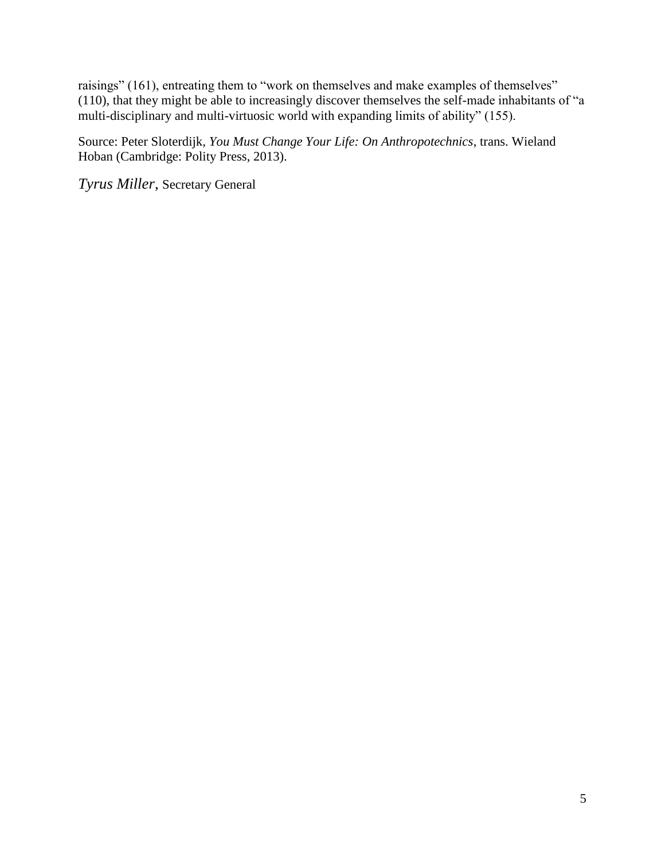raisings" (161), entreating them to "work on themselves and make examples of themselves" (110), that they might be able to increasingly discover themselves the self-made inhabitants of "a multi-disciplinary and multi-virtuosic world with expanding limits of ability" (155).

Source: Peter Sloterdijk, *You Must Change Your Life: On Anthropotechnics*, trans. Wieland Hoban (Cambridge: Polity Press, 2013).

*Tyrus Miller*, Secretary General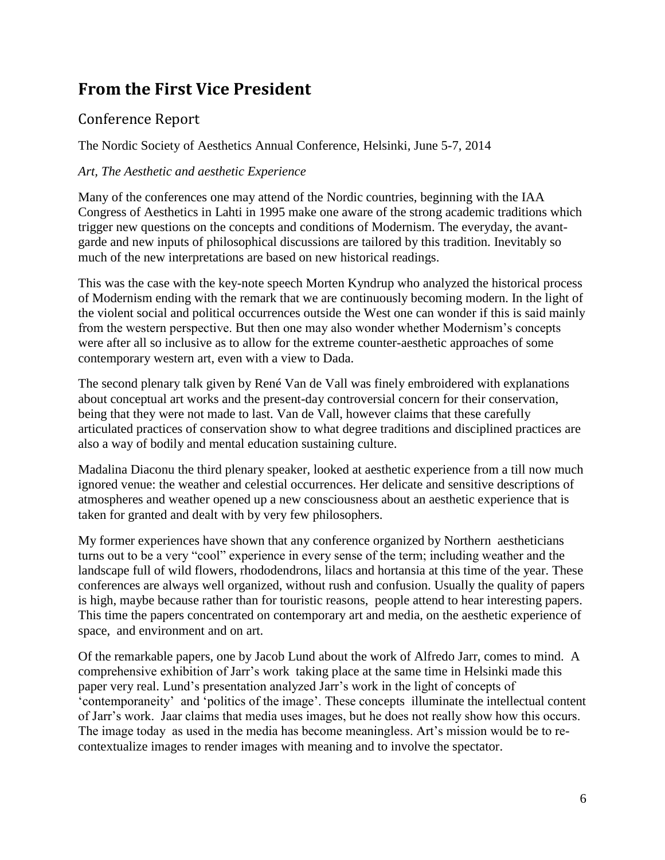# **From the First Vice President**

### Conference Report

The Nordic Society of Aesthetics Annual Conference, Helsinki, June 5-7, 2014

### *Art, The Aesthetic and aesthetic Experience*

Many of the conferences one may attend of the Nordic countries, beginning with the IAA Congress of Aesthetics in Lahti in 1995 make one aware of the strong academic traditions which trigger new questions on the concepts and conditions of Modernism. The everyday, the avantgarde and new inputs of philosophical discussions are tailored by this tradition. Inevitably so much of the new interpretations are based on new historical readings.

This was the case with the key-note speech Morten Kyndrup who analyzed the historical process of Modernism ending with the remark that we are continuously becoming modern. In the light of the violent social and political occurrences outside the West one can wonder if this is said mainly from the western perspective. But then one may also wonder whether Modernism's concepts were after all so inclusive as to allow for the extreme counter-aesthetic approaches of some contemporary western art, even with a view to Dada.

The second plenary talk given by René Van de Vall was finely embroidered with explanations about conceptual art works and the present-day controversial concern for their conservation, being that they were not made to last. Van de Vall, however claims that these carefully articulated practices of conservation show to what degree traditions and disciplined practices are also a way of bodily and mental education sustaining culture.

Madalina Diaconu the third plenary speaker, looked at aesthetic experience from a till now much ignored venue: the weather and celestial occurrences. Her delicate and sensitive descriptions of atmospheres and weather opened up a new consciousness about an aesthetic experience that is taken for granted and dealt with by very few philosophers.

My former experiences have shown that any conference organized by Northern aestheticians turns out to be a very "cool" experience in every sense of the term; including weather and the landscape full of wild flowers, rhododendrons, lilacs and hortansia at this time of the year. These conferences are always well organized, without rush and confusion. Usually the quality of papers is high, maybe because rather than for touristic reasons, people attend to hear interesting papers. This time the papers concentrated on contemporary art and media, on the aesthetic experience of space, and environment and on art.

Of the remarkable papers, one by Jacob Lund about the work of Alfredo Jarr, comes to mind. A comprehensive exhibition of Jarr's work taking place at the same time in Helsinki made this paper very real. Lund's presentation analyzed Jarr's work in the light of concepts of 'contemporaneity' and 'politics of the image'. These concepts illuminate the intellectual content of Jarr's work. Jaar claims that media uses images, but he does not really show how this occurs. The image today as used in the media has become meaningless. Art's mission would be to recontextualize images to render images with meaning and to involve the spectator.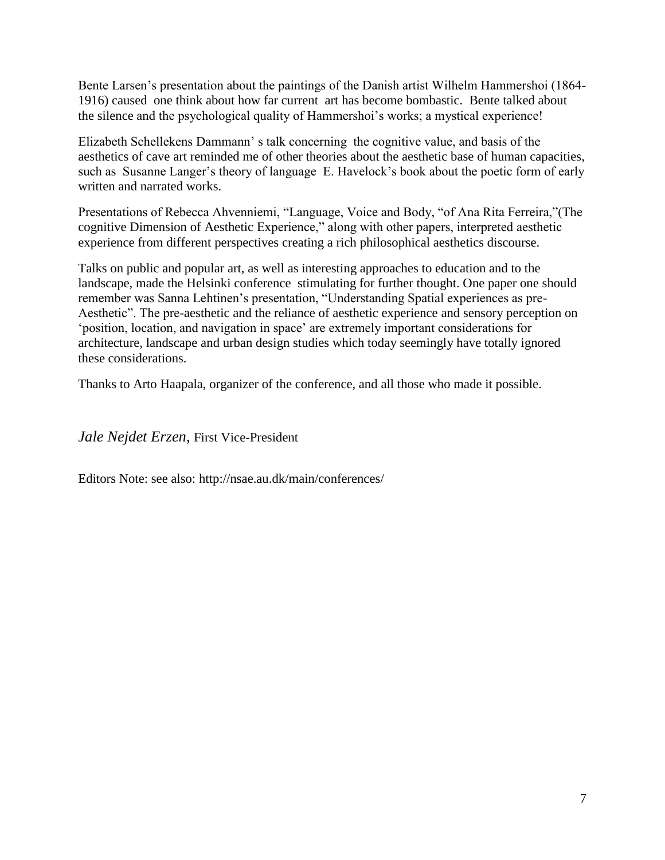Bente Larsen's presentation about the paintings of the Danish artist Wilhelm Hammershoi (1864- 1916) caused one think about how far current art has become bombastic. Bente talked about the silence and the psychological quality of Hammershoi's works; a mystical experience!

Elizabeth Schellekens Dammann' s talk concerning the cognitive value, and basis of the aesthetics of cave art reminded me of other theories about the aesthetic base of human capacities, such as Susanne Langer's theory of language E. Havelock's book about the poetic form of early written and narrated works.

Presentations of Rebecca Ahvenniemi, "Language, Voice and Body, "of Ana Rita Ferreira,"(The cognitive Dimension of Aesthetic Experience," along with other papers, interpreted aesthetic experience from different perspectives creating a rich philosophical aesthetics discourse.

Talks on public and popular art, as well as interesting approaches to education and to the landscape, made the Helsinki conference stimulating for further thought. One paper one should remember was Sanna Lehtinen's presentation, "Understanding Spatial experiences as pre-Aesthetic". The pre-aesthetic and the reliance of aesthetic experience and sensory perception on 'position, location, and navigation in space' are extremely important considerations for architecture, landscape and urban design studies which today seemingly have totally ignored these considerations.

Thanks to Arto Haapala, organizer of the conference, and all those who made it possible.

*Jale Nejdet Erzen*, First Vice-President

Editors Note: see also: http://nsae.au.dk/main/conferences/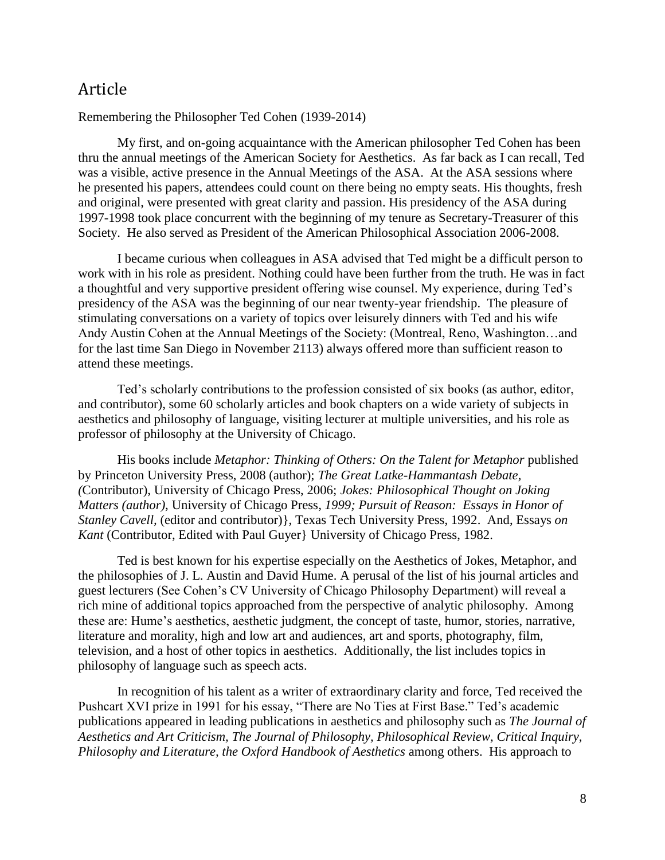### Article

Remembering the Philosopher Ted Cohen (1939-2014)

My first, and on-going acquaintance with the American philosopher Ted Cohen has been thru the annual meetings of the American Society for Aesthetics. As far back as I can recall, Ted was a visible, active presence in the Annual Meetings of the ASA. At the ASA sessions where he presented his papers, attendees could count on there being no empty seats. His thoughts, fresh and original, were presented with great clarity and passion. His presidency of the ASA during 1997-1998 took place concurrent with the beginning of my tenure as Secretary-Treasurer of this Society. He also served as President of the American Philosophical Association 2006-2008.

I became curious when colleagues in ASA advised that Ted might be a difficult person to work with in his role as president. Nothing could have been further from the truth. He was in fact a thoughtful and very supportive president offering wise counsel. My experience, during Ted's presidency of the ASA was the beginning of our near twenty-year friendship. The pleasure of stimulating conversations on a variety of topics over leisurely dinners with Ted and his wife Andy Austin Cohen at the Annual Meetings of the Society: (Montreal, Reno, Washington…and for the last time San Diego in November 2113) always offered more than sufficient reason to attend these meetings.

Ted's scholarly contributions to the profession consisted of six books (as author, editor, and contributor), some 60 scholarly articles and book chapters on a wide variety of subjects in aesthetics and philosophy of language, visiting lecturer at multiple universities, and his role as professor of philosophy at the University of Chicago.

His books include *Metaphor: Thinking of Others: On the Talent for Metaphor* published by Princeton University Press, 2008 (author); *The Great Latke-Hammantash Debate, (*Contributor), University of Chicago Press, 2006; *Jokes: Philosophical Thought on Joking Matters (author)*, University of Chicago Press*, 1999; Pursuit of Reason: Essays in Honor of Stanley Cavell,* (editor and contributor)}, Texas Tech University Press, 1992. And, Essays *on Kant* (Contributor, Edited with Paul Guyer} University of Chicago Press, 1982.

Ted is best known for his expertise especially on the Aesthetics of Jokes, Metaphor, and the philosophies of J. L. Austin and David Hume. A perusal of the list of his journal articles and guest lecturers (See Cohen's CV University of Chicago Philosophy Department) will reveal a rich mine of additional topics approached from the perspective of analytic philosophy. Among these are: Hume's aesthetics, aesthetic judgment, the concept of taste, humor, stories, narrative, literature and morality, high and low art and audiences, art and sports, photography, film, television, and a host of other topics in aesthetics. Additionally, the list includes topics in philosophy of language such as speech acts.

In recognition of his talent as a writer of extraordinary clarity and force, Ted received the Pushcart XVI prize in 1991 for his essay, "There are No Ties at First Base." Ted's academic publications appeared in leading publications in aesthetics and philosophy such as *The Journal of Aesthetics and Art Criticism, The Journal of Philosophy, Philosophical Review, Critical Inquiry, Philosophy and Literature, the Oxford Handbook of Aesthetics* among others. His approach to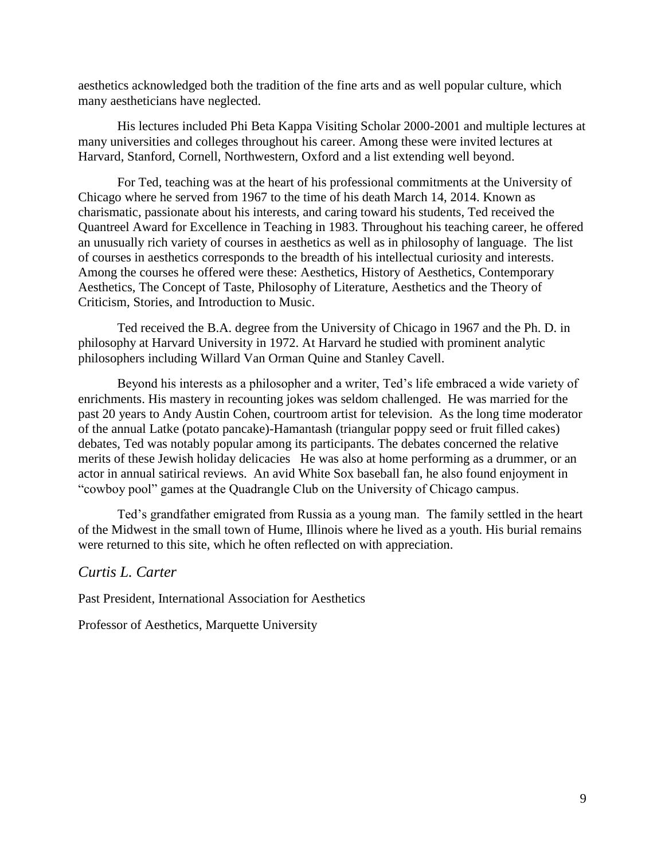aesthetics acknowledged both the tradition of the fine arts and as well popular culture, which many aestheticians have neglected.

His lectures included Phi Beta Kappa Visiting Scholar 2000-2001 and multiple lectures at many universities and colleges throughout his career. Among these were invited lectures at Harvard, Stanford, Cornell, Northwestern, Oxford and a list extending well beyond.

For Ted, teaching was at the heart of his professional commitments at the University of Chicago where he served from 1967 to the time of his death March 14, 2014. Known as charismatic, passionate about his interests, and caring toward his students, Ted received the Quantreel Award for Excellence in Teaching in 1983. Throughout his teaching career, he offered an unusually rich variety of courses in aesthetics as well as in philosophy of language. The list of courses in aesthetics corresponds to the breadth of his intellectual curiosity and interests. Among the courses he offered were these: Aesthetics, History of Aesthetics, Contemporary Aesthetics, The Concept of Taste, Philosophy of Literature, Aesthetics and the Theory of Criticism, Stories, and Introduction to Music.

Ted received the B.A. degree from the University of Chicago in 1967 and the Ph. D. in philosophy at Harvard University in 1972. At Harvard he studied with prominent analytic philosophers including Willard Van Orman Quine and Stanley Cavell.

Beyond his interests as a philosopher and a writer, Ted's life embraced a wide variety of enrichments. His mastery in recounting jokes was seldom challenged. He was married for the past 20 years to Andy Austin Cohen, courtroom artist for television. As the long time moderator of the annual Latke (potato pancake)-Hamantash (triangular poppy seed or fruit filled cakes) debates, Ted was notably popular among its participants. The debates concerned the relative merits of these Jewish holiday delicacies He was also at home performing as a drummer, or an actor in annual satirical reviews. An avid White Sox baseball fan, he also found enjoyment in "cowboy pool" games at the Quadrangle Club on the University of Chicago campus.

Ted's grandfather emigrated from Russia as a young man. The family settled in the heart of the Midwest in the small town of Hume, Illinois where he lived as a youth. His burial remains were returned to this site, which he often reflected on with appreciation.

*Curtis L. Carter*

Past President, International Association for Aesthetics

Professor of Aesthetics, Marquette University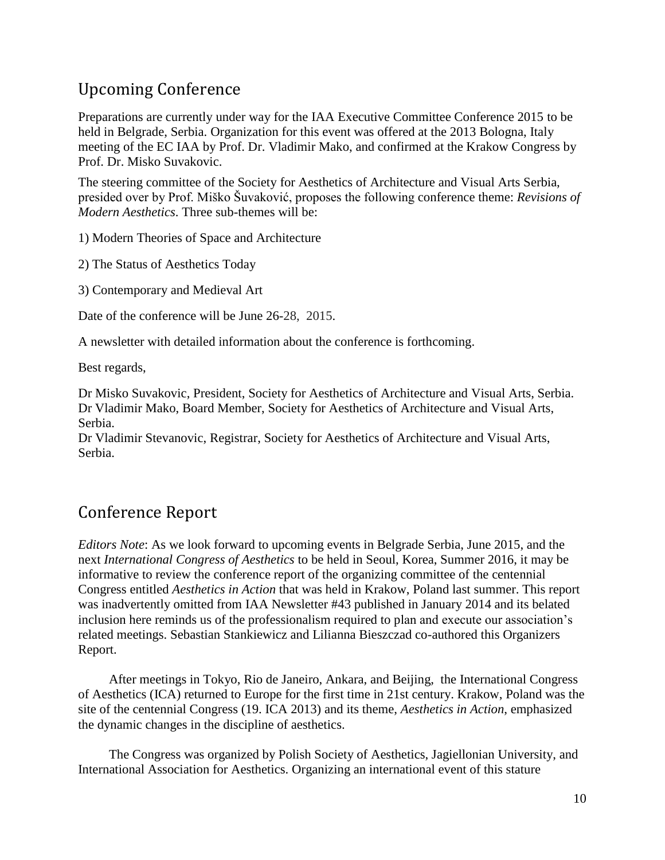# Upcoming Conference

Preparations are currently under way for the IAA Executive Committee Conference 2015 to be held in Belgrade, Serbia. Organization for this event was offered at the 2013 Bologna, Italy meeting of the EC IAA by Prof. Dr. Vladimir Mako, and confirmed at the Krakow Congress by Prof. Dr. Misko Suvakovic.

The steering committee of the Society for Aesthetics of Architecture and Visual Arts Serbia, presided over by Prof. Miško Šuvaković, proposes the following conference theme: *Revisions of Modern Aesthetics*. Three sub-themes will be:

1) Modern Theories of Space and Architecture

2) The Status of Aesthetics Today

3) Contemporary and Medieval Art

Date of the conference will be June 26-28, 2015.

A newsletter with detailed information about the conference is forthcoming.

Best regards,

Dr Misko Suvakovic, President, Society for Aesthetics of Architecture and Visual Arts, Serbia. Dr Vladimir Mako, Board Member, Society for Aesthetics of Architecture and Visual Arts, Serbia.

Dr Vladimir Stevanovic, Registrar, Society for Aesthetics of Architecture and Visual Arts, Serbia.

# Conference Report

*Editors Note*: As we look forward to upcoming events in Belgrade Serbia, June 2015, and the next *International Congress of Aesthetics* to be held in Seoul, Korea, Summer 2016, it may be informative to review the conference report of the organizing committee of the centennial Congress entitled *Aesthetics in Action* that was held in Krakow, Poland last summer. This report was inadvertently omitted from IAA Newsletter #43 published in January 2014 and its belated inclusion here reminds us of the professionalism required to plan and execute our association's related meetings. Sebastian Stankiewicz and Lilianna Bieszczad co-authored this Organizers Report.

After meetings in Tokyo, Rio de Janeiro, Ankara, and Beijing, the International Congress of Aesthetics (ICA) returned to Europe for the first time in 21st century. Krakow, Poland was the site of the centennial Congress (19. ICA 2013) and its theme, *Aesthetics in Action*, emphasized the dynamic changes in the discipline of aesthetics.

The Congress was organized by Polish Society of Aesthetics, Jagiellonian University, and International Association for Aesthetics. Organizing an international event of this stature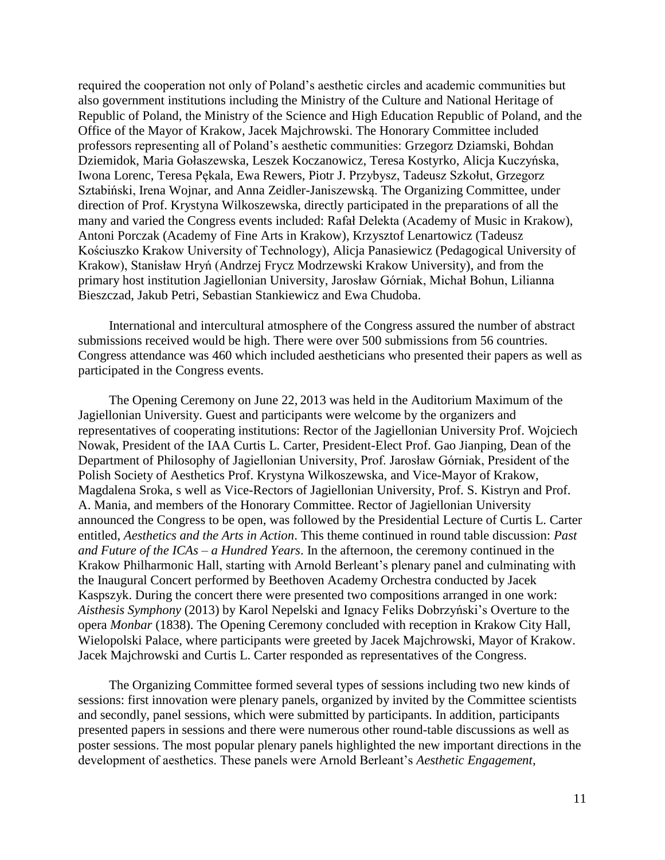required the cooperation not only of Poland's aesthetic circles and academic communities but also government institutions including the Ministry of the Culture and National Heritage of Republic of Poland, the Ministry of the Science and High Education Republic of Poland, and the Office of the Mayor of Krakow, Jacek Majchrowski. The Honorary Committee included professors representing all of Poland's aesthetic communities: Grzegorz Dziamski, Bohdan Dziemidok, Maria Gołaszewska, Leszek Koczanowicz, Teresa Kostyrko, Alicja Kuczyńska, Iwona Lorenc, Teresa Pękala, Ewa Rewers, Piotr J. Przybysz, Tadeusz Szkołut, Grzegorz Sztabiński, Irena Wojnar, and Anna Zeidler-Janiszewską. The Organizing Committee, under direction of Prof. Krystyna Wilkoszewska, directly participated in the preparations of all the many and varied the Congress events included: Rafał Delekta (Academy of Music in Krakow), Antoni Porczak (Academy of Fine Arts in Krakow), Krzysztof Lenartowicz (Tadeusz Kościuszko Krakow University of Technology), Alicja Panasiewicz (Pedagogical University of Krakow), Stanisław Hryń (Andrzej Frycz Modrzewski Krakow University), and from the primary host institution Jagiellonian University, Jarosław Górniak, Michał Bohun, Lilianna Bieszczad, Jakub Petri, Sebastian Stankiewicz and Ewa Chudoba.

International and intercultural atmosphere of the Congress assured the number of abstract submissions received would be high. There were over 500 submissions from 56 countries. Congress attendance was 460 which included aestheticians who presented their papers as well as participated in the Congress events.

The Opening Ceremony on June 22, 2013 was held in the Auditorium Maximum of the Jagiellonian University. Guest and participants were welcome by the organizers and representatives of cooperating institutions: Rector of the Jagiellonian University Prof. Wojciech Nowak, President of the IAA Curtis L. Carter, President-Elect Prof. Gao Jianping, Dean of the Department of Philosophy of Jagiellonian University, Prof. Jarosław Górniak, President of the Polish Society of Aesthetics Prof. Krystyna Wilkoszewska, and Vice-Mayor of Krakow, Magdalena Sroka, s well as Vice-Rectors of Jagiellonian University, Prof. S. Kistryn and Prof. A. Mania, and members of the Honorary Committee. Rector of Jagiellonian University announced the Congress to be open, was followed by the Presidential Lecture of Curtis L. Carter entitled, *Aesthetics and the Arts in Action*. This theme continued in round table discussion: *Past and Future of the ICAs – a Hundred Years*. In the afternoon, the ceremony continued in the Krakow Philharmonic Hall, starting with Arnold Berleant's plenary panel and culminating with the Inaugural Concert performed by Beethoven Academy Orchestra conducted by Jacek Kaspszyk. During the concert there were presented two compositions arranged in one work: *Aisthesis Symphony* (2013) by Karol Nepelski and Ignacy Feliks Dobrzyński's Overture to the opera *Monbar* (1838). The Opening Ceremony concluded with reception in Krakow City Hall, Wielopolski Palace, where participants were greeted by Jacek Majchrowski, Mayor of Krakow. Jacek Majchrowski and Curtis L. Carter responded as representatives of the Congress.

The Organizing Committee formed several types of sessions including two new kinds of sessions: first innovation were plenary panels, organized by invited by the Committee scientists and secondly, panel sessions, which were submitted by participants. In addition, participants presented papers in sessions and there were numerous other round-table discussions as well as poster sessions. The most popular plenary panels highlighted the new important directions in the development of aesthetics. These panels were Arnold Berleant's *Aesthetic Engagement*,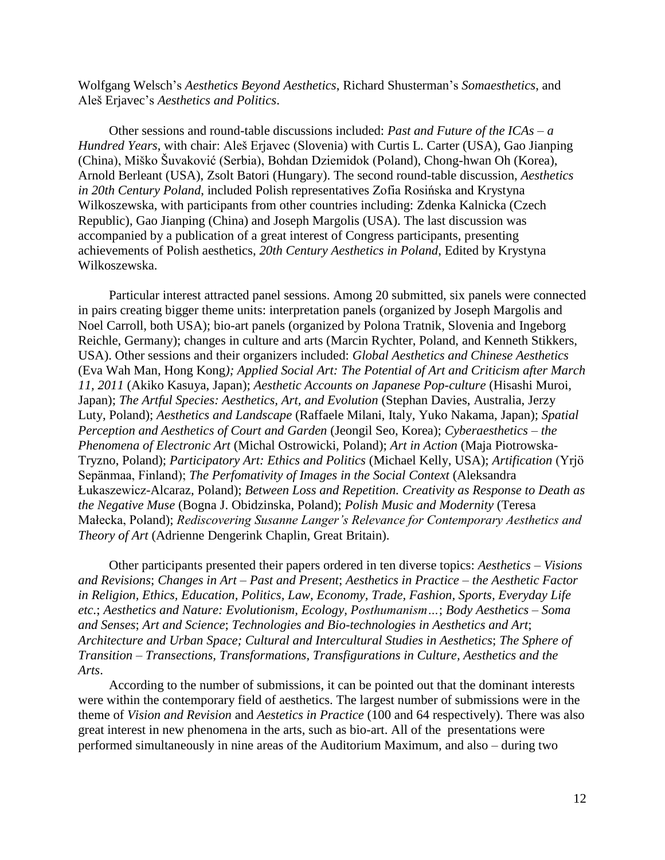Wolfgang Welsch's *Aesthetics Beyond Aesthetics*, Richard Shusterman's *Somaesthetics*, and Aleš Erjavec's *Aesthetics and Politics*.

Other sessions and round-table discussions included: *Past and Future of the ICAs – a Hundred Years*, with chair: Aleš Erjavec (Slovenia) with Curtis L. Carter (USA), Gao Jianping (China), Miško Šuvaković (Serbia), Bohdan Dziemidok (Poland), Chong-hwan Oh (Korea), Arnold Berleant (USA), Zsolt Batori (Hungary). The second round-table discussion, *Aesthetics in 20th Century Poland*, included Polish representatives Zofia Rosińska and Krystyna Wilkoszewska, with participants from other countries including: Zdenka Kalnicka (Czech Republic), Gao Jianping (China) and Joseph Margolis (USA). The last discussion was accompanied by a publication of a great interest of Congress participants, presenting achievements of Polish aesthetics, *20th Century Aesthetics in Poland*, Edited by Krystyna Wilkoszewska.

Particular interest attracted panel sessions. Among 20 submitted, six panels were connected in pairs creating bigger theme units: interpretation panels (organized by Joseph Margolis and Noel Carroll, both USA); bio-art panels (organized by Polona Tratnik, Slovenia and Ingeborg Reichle, Germany); changes in culture and arts (Marcin Rychter, Poland, and Kenneth Stikkers, USA). Other sessions and their organizers included: *Global Aesthetics and Chinese Aesthetics* (Eva Wah Man, Hong Kong*); Applied Social Art: The Potential of Art and Criticism after March 11, 2011* (Akiko Kasuya, Japan); *Aesthetic Accounts on Japanese Pop-culture* (Hisashi Muroi, Japan); *The Artful Species: Aesthetics, Art, and Evolution* (Stephan Davies, Australia, Jerzy Luty, Poland); *Aesthetics and Landscape* (Raffaele Milani, Italy, Yuko Nakama, Japan); *Spatial Perception and Aesthetics of Court and Garden* (Jeongil Seo, Korea); *Cyberaesthetics – the Phenomena of Electronic Art* (Michal Ostrowicki, Poland); *Art in Action* (Maja Piotrowska-Tryzno, Poland); *Participatory Art: Ethics and Politics* (Michael Kelly, USA); *Artification* (Yrjӧ Sepӓnmaa, Finland); *The Perfomativity of Images in the Social Context* (Aleksandra Łukaszewicz-Alcaraz, Poland); *Between Loss and Repetition. Creativity as Response to Death as the Negative Muse* (Bogna J. Obidzinska, Poland); *Polish Music and Modernity* (Teresa Małecka, Poland); *Rediscovering Susanne Langer's Relevance for Contemporary Aesthetics and Theory of Art* (Adrienne Dengerink Chaplin, Great Britain).

Other participants presented their papers ordered in ten diverse topics: *Aesthetics – Visions and Revisions*; *Changes in Art – Past and Present*; *Aesthetics in Practice – the Aesthetic Factor in Religion, Ethics, Education, Politics, Law, Economy, Trade, Fashion, Sports, Everyday Life etc.*; *Aesthetics and Nature: Evolutionism, Ecology, Posthumanism…*; *Body Aesthetics – Soma and Senses*; *Art and Science*; *Technologies and Bio-technologies in Aesthetics and Art*; *Architecture and Urban Space; Cultural and Intercultural Studies in Aesthetics*; *The Sphere of Transition – Transections, Transformations, Transfigurations in Culture, Aesthetics and the Arts*.

According to the number of submissions, it can be pointed out that the dominant interests were within the contemporary field of aesthetics. The largest number of submissions were in the theme of *Vision and Revision* and *Aestetics in Practice* (100 and 64 respectively). There was also great interest in new phenomena in the arts, such as bio-art. All of the presentations were performed simultaneously in nine areas of the Auditorium Maximum, and also – during two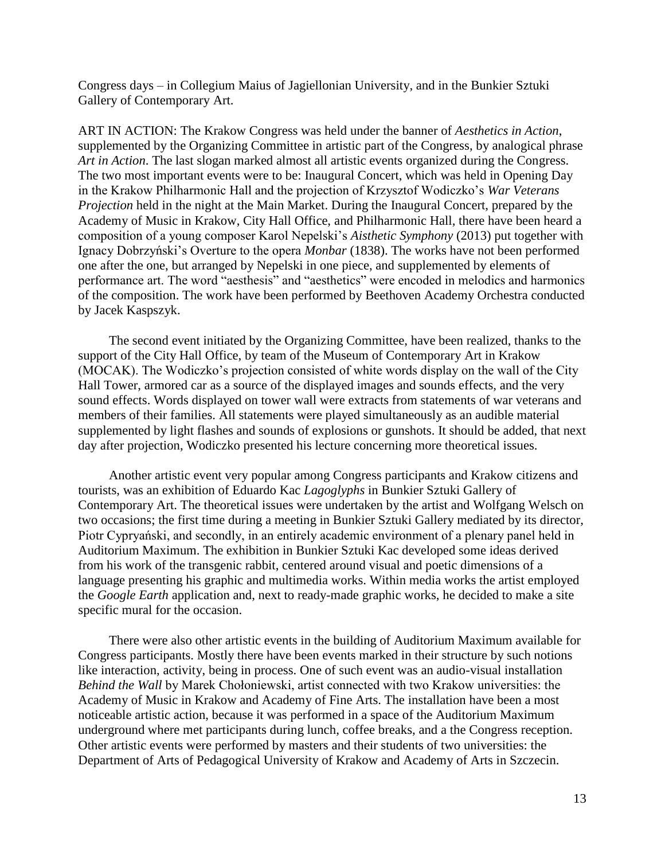Congress days – in Collegium Maius of Jagiellonian University, and in the Bunkier Sztuki Gallery of Contemporary Art.

ART IN ACTION: The Krakow Congress was held under the banner of *Aesthetics in Action*, supplemented by the Organizing Committee in artistic part of the Congress, by analogical phrase *Art in Action*. The last slogan marked almost all artistic events organized during the Congress. The two most important events were to be: Inaugural Concert, which was held in Opening Day in the Krakow Philharmonic Hall and the projection of Krzysztof Wodiczko's *War Veterans Projection* held in the night at the Main Market. During the Inaugural Concert, prepared by the Academy of Music in Krakow, City Hall Office, and Philharmonic Hall, there have been heard a composition of a young composer Karol Nepelski's *Aisthetic Symphony* (2013) put together with Ignacy Dobrzyński's Overture to the opera *Monbar* (1838). The works have not been performed one after the one, but arranged by Nepelski in one piece, and supplemented by elements of performance art. The word "aesthesis" and "aesthetics" were encoded in melodics and harmonics of the composition. The work have been performed by Beethoven Academy Orchestra conducted by Jacek Kaspszyk.

The second event initiated by the Organizing Committee, have been realized, thanks to the support of the City Hall Office, by team of the Museum of Contemporary Art in Krakow (MOCAK). The Wodiczko's projection consisted of white words display on the wall of the City Hall Tower, armored car as a source of the displayed images and sounds effects, and the very sound effects. Words displayed on tower wall were extracts from statements of war veterans and members of their families. All statements were played simultaneously as an audible material supplemented by light flashes and sounds of explosions or gunshots. It should be added, that next day after projection, Wodiczko presented his lecture concerning more theoretical issues.

Another artistic event very popular among Congress participants and Krakow citizens and tourists, was an exhibition of Eduardo Kac *Lagoglyphs* in Bunkier Sztuki Gallery of Contemporary Art. The theoretical issues were undertaken by the artist and Wolfgang Welsch on two occasions; the first time during a meeting in Bunkier Sztuki Gallery mediated by its director, Piotr Cypryański, and secondly, in an entirely academic environment of a plenary panel held in Auditorium Maximum. The exhibition in Bunkier Sztuki Kac developed some ideas derived from his work of the transgenic rabbit, centered around visual and poetic dimensions of a language presenting his graphic and multimedia works. Within media works the artist employed the *Google Earth* application and, next to ready-made graphic works, he decided to make a site specific mural for the occasion.

There were also other artistic events in the building of Auditorium Maximum available for Congress participants. Mostly there have been events marked in their structure by such notions like interaction, activity, being in process. One of such event was an audio-visual installation *Behind the Wall* by Marek Chołoniewski, artist connected with two Krakow universities: the Academy of Music in Krakow and Academy of Fine Arts. The installation have been a most noticeable artistic action, because it was performed in a space of the Auditorium Maximum underground where met participants during lunch, coffee breaks, and a the Congress reception. Other artistic events were performed by masters and their students of two universities: the Department of Arts of Pedagogical University of Krakow and Academy of Arts in Szczecin.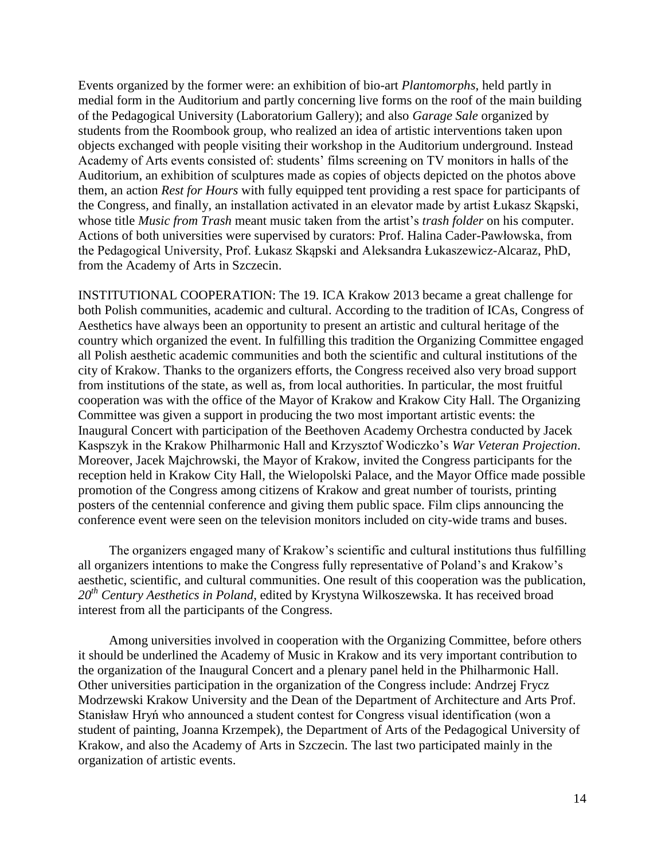Events organized by the former were: an exhibition of bio-art *Plantomorphs*, held partly in medial form in the Auditorium and partly concerning live forms on the roof of the main building of the Pedagogical University (Laboratorium Gallery); and also *Garage Sale* organized by students from the Roombook group, who realized an idea of artistic interventions taken upon objects exchanged with people visiting their workshop in the Auditorium underground. Instead Academy of Arts events consisted of: students' films screening on TV monitors in halls of the Auditorium, an exhibition of sculptures made as copies of objects depicted on the photos above them, an action *Rest for Hours* with fully equipped tent providing a rest space for participants of the Congress, and finally, an installation activated in an elevator made by artist Łukasz Skąpski, whose title *Music from Trash* meant music taken from the artist's *trash folder* on his computer. Actions of both universities were supervised by curators: Prof. Halina Cader-Pawłowska, from the Pedagogical University, Prof. Łukasz Skąpski and Aleksandra Łukaszewicz-Alcaraz, PhD, from the Academy of Arts in Szczecin.

INSTITUTIONAL COOPERATION: The 19. ICA Krakow 2013 became a great challenge for both Polish communities, academic and cultural. According to the tradition of ICAs, Congress of Aesthetics have always been an opportunity to present an artistic and cultural heritage of the country which organized the event. In fulfilling this tradition the Organizing Committee engaged all Polish aesthetic academic communities and both the scientific and cultural institutions of the city of Krakow. Thanks to the organizers efforts, the Congress received also very broad support from institutions of the state, as well as, from local authorities. In particular, the most fruitful cooperation was with the office of the Mayor of Krakow and Krakow City Hall. The Organizing Committee was given a support in producing the two most important artistic events: the Inaugural Concert with participation of the Beethoven Academy Orchestra conducted by Jacek Kaspszyk in the Krakow Philharmonic Hall and Krzysztof Wodiczko's *War Veteran Projection*. Moreover, Jacek Majchrowski, the Mayor of Krakow, invited the Congress participants for the reception held in Krakow City Hall, the Wielopolski Palace, and the Mayor Office made possible promotion of the Congress among citizens of Krakow and great number of tourists, printing posters of the centennial conference and giving them public space. Film clips announcing the conference event were seen on the television monitors included on city-wide trams and buses.

The organizers engaged many of Krakow's scientific and cultural institutions thus fulfilling all organizers intentions to make the Congress fully representative of Poland's and Krakow's aesthetic, scientific, and cultural communities. One result of this cooperation was the publication, *20th Century Aesthetics in Poland*, edited by Krystyna Wilkoszewska. It has received broad interest from all the participants of the Congress.

Among universities involved in cooperation with the Organizing Committee, before others it should be underlined the Academy of Music in Krakow and its very important contribution to the organization of the Inaugural Concert and a plenary panel held in the Philharmonic Hall. Other universities participation in the organization of the Congress include: Andrzej Frycz Modrzewski Krakow University and the Dean of the Department of Architecture and Arts Prof. Stanisław Hryń who announced a student contest for Congress visual identification (won a student of painting, Joanna Krzempek), the Department of Arts of the Pedagogical University of Krakow, and also the Academy of Arts in Szczecin. The last two participated mainly in the organization of artistic events.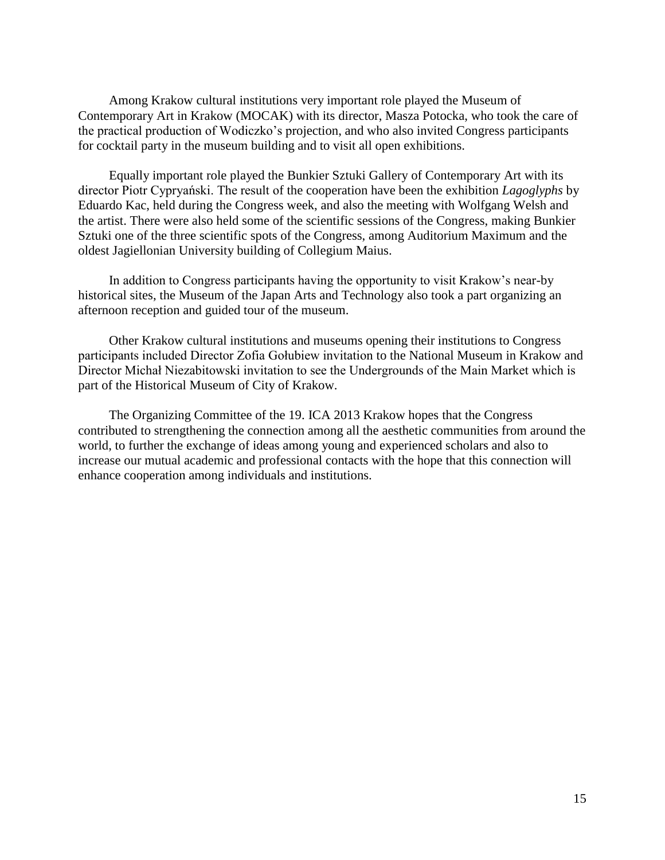Among Krakow cultural institutions very important role played the Museum of Contemporary Art in Krakow (MOCAK) with its director, Masza Potocka, who took the care of the practical production of Wodiczko's projection, and who also invited Congress participants for cocktail party in the museum building and to visit all open exhibitions.

Equally important role played the Bunkier Sztuki Gallery of Contemporary Art with its director Piotr Cypryański. The result of the cooperation have been the exhibition *Lagoglyphs* by Eduardo Kac, held during the Congress week, and also the meeting with Wolfgang Welsh and the artist. There were also held some of the scientific sessions of the Congress, making Bunkier Sztuki one of the three scientific spots of the Congress, among Auditorium Maximum and the oldest Jagiellonian University building of Collegium Maius.

In addition to Congress participants having the opportunity to visit Krakow's near-by historical sites, the Museum of the Japan Arts and Technology also took a part organizing an afternoon reception and guided tour of the museum.

Other Krakow cultural institutions and museums opening their institutions to Congress participants included Director Zofia Gołubiew invitation to the National Museum in Krakow and Director Michał Niezabitowski invitation to see the Undergrounds of the Main Market which is part of the Historical Museum of City of Krakow.

The Organizing Committee of the 19. ICA 2013 Krakow hopes that the Congress contributed to strengthening the connection among all the aesthetic communities from around the world, to further the exchange of ideas among young and experienced scholars and also to increase our mutual academic and professional contacts with the hope that this connection will enhance cooperation among individuals and institutions.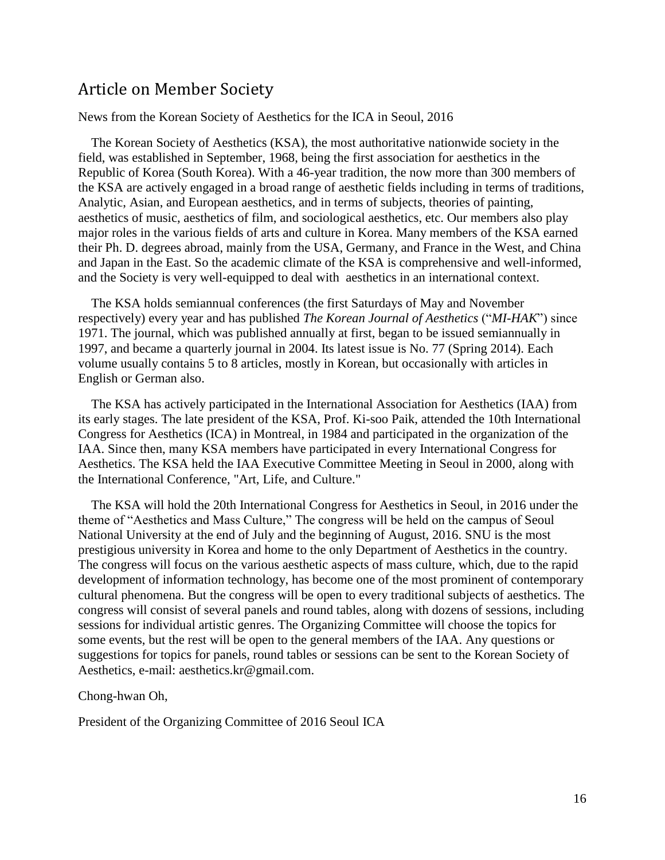### Article on Member Society

#### News from the Korean Society of Aesthetics for the ICA in Seoul, 2016

The Korean Society of Aesthetics (KSA), the most authoritative nationwide society in the field, was established in September, 1968, being the first association for aesthetics in the Republic of Korea (South Korea). With a 46-year tradition, the now more than 300 members of the KSA are actively engaged in a broad range of aesthetic fields including in terms of traditions, Analytic, Asian, and European aesthetics, and in terms of subjects, theories of painting, aesthetics of music, aesthetics of film, and sociological aesthetics, etc. Our members also play major roles in the various fields of arts and culture in Korea. Many members of the KSA earned their Ph. D. degrees abroad, mainly from the USA, Germany, and France in the West, and China and Japan in the East. So the academic climate of the KSA is comprehensive and well-informed, and the Society is very well-equipped to deal with aesthetics in an international context.

The KSA holds semiannual conferences (the first Saturdays of May and November respectively) every year and has published *The Korean Journal of Aesthetics* ("*MI-HAK*") since 1971. The journal, which was published annually at first, began to be issued semiannually in 1997, and became a quarterly journal in 2004. Its latest issue is No. 77 (Spring 2014). Each volume usually contains 5 to 8 articles, mostly in Korean, but occasionally with articles in English or German also.

The KSA has actively participated in the International Association for Aesthetics (IAA) from its early stages. The late president of the KSA, Prof. Ki-soo Paik, attended the 10th International Congress for Aesthetics (ICA) in Montreal, in 1984 and participated in the organization of the IAA. Since then, many KSA members have participated in every International Congress for Aesthetics. The KSA held the IAA Executive Committee Meeting in Seoul in 2000, along with the International Conference, "Art, Life, and Culture."

The KSA will hold the 20th International Congress for Aesthetics in Seoul, in 2016 under the theme of "Aesthetics and Mass Culture," The congress will be held on the campus of Seoul National University at the end of July and the beginning of August, 2016. SNU is the most prestigious university in Korea and home to the only Department of Aesthetics in the country. The congress will focus on the various aesthetic aspects of mass culture, which, due to the rapid development of information technology, has become one of the most prominent of contemporary cultural phenomena. But the congress will be open to every traditional subjects of aesthetics. The congress will consist of several panels and round tables, along with dozens of sessions, including sessions for individual artistic genres. The Organizing Committee will choose the topics for some events, but the rest will be open to the general members of the IAA. Any questions or suggestions for topics for panels, round tables or sessions can be sent to the Korean Society of Aesthetics, e-mail: aesthetics.kr@gmail.com.

Chong-hwan Oh,

President of the Organizing Committee of 2016 Seoul ICA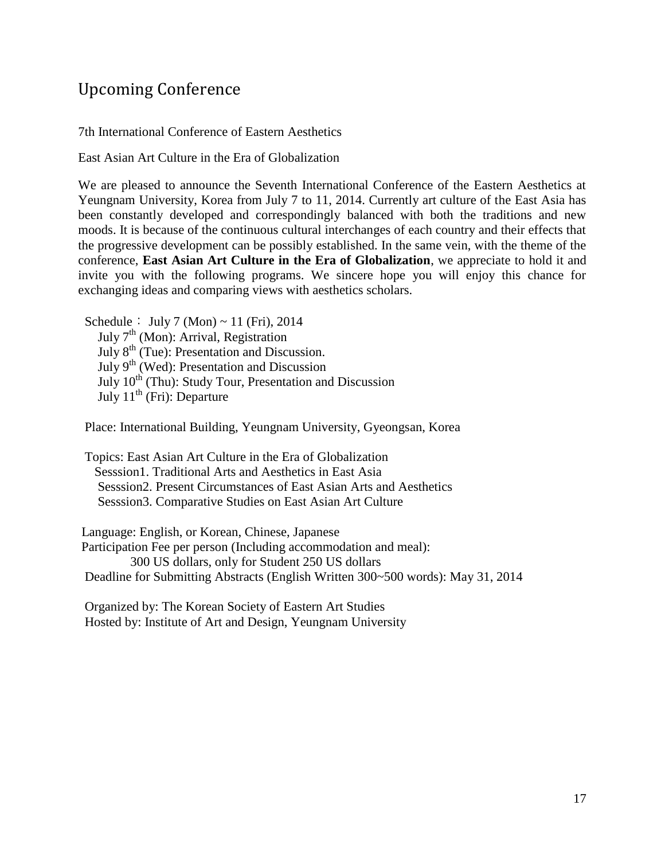# Upcoming Conference

7th International Conference of Eastern Aesthetics

East Asian Art Culture in the Era of Globalization

We are pleased to announce the Seventh International Conference of the Eastern Aesthetics at Yeungnam University, Korea from July 7 to 11, 2014. Currently art culture of the East Asia has been constantly developed and correspondingly balanced with both the traditions and new moods. It is because of the continuous cultural interchanges of each country and their effects that the progressive development can be possibly established. In the same vein, with the theme of the conference, **East Asian Art Culture in the Era of Globalization**, we appreciate to hold it and invite you with the following programs. We sincere hope you will enjoy this chance for exchanging ideas and comparing views with aesthetics scholars.

Schedule: July 7 (Mon)  $\sim$  11 (Fri), 2014 July  $7<sup>th</sup>$  (Mon): Arrival, Registration July 8<sup>th</sup> (Tue): Presentation and Discussion. July  $9<sup>th</sup>$  (Wed): Presentation and Discussion July  $10^{th}$  (Thu): Study Tour, Presentation and Discussion July  $11^{th}$  (Fri): Departure

Place: International Building, Yeungnam University, Gyeongsan, Korea

Topics: East Asian Art Culture in the Era of Globalization Sesssion1. Traditional Arts and Aesthetics in East Asia Sesssion2. Present Circumstances of East Asian Arts and Aesthetics Sesssion3. Comparative Studies on East Asian Art Culture

Language: English, or Korean, Chinese, Japanese Participation Fee per person (Including accommodation and meal): 300 US dollars, only for Student 250 US dollars Deadline for Submitting Abstracts (English Written 300~500 words): May 31, 2014

Organized by: The Korean Society of Eastern Art Studies Hosted by: Institute of Art and Design, Yeungnam University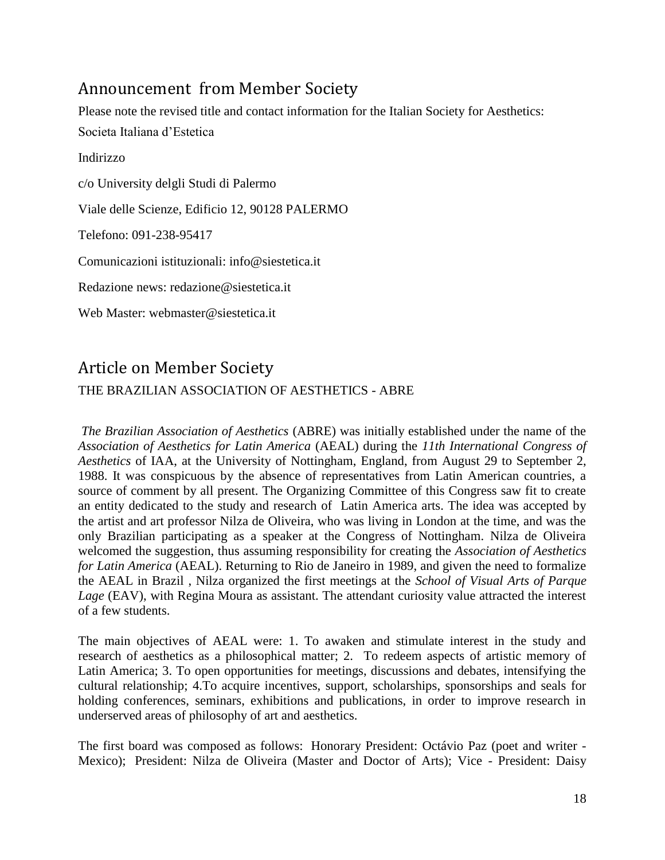# Announcement from Member Society

Please note the revised title and contact information for the Italian Society for Aesthetics: Societa Italiana d'Estetica Indirizzo c/o University delgli Studi di Palermo Viale delle Scienze, Edificio 12, 90128 PALERMO Telefono: 091-238-95417 Comunicazioni istituzionali: info@siestetica.it Redazione news: redazione@siestetica.it Web Master: webmaster@siestetica.it

## Article on Member Society

### THE BRAZILIAN ASSOCIATION OF AESTHETICS - ABRE

*The Brazilian Association of Aesthetics* (ABRE) was initially established under the name of the *Association of Aesthetics for Latin America* (AEAL) during the *11th International Congress of Aesthetics* of IAA, at the University of Nottingham, England, from August 29 to September 2, 1988. It was conspicuous by the absence of representatives from Latin American countries, a source of comment by all present. The Organizing Committee of this Congress saw fit to create an entity dedicated to the study and research of Latin America arts. The idea was accepted by the artist and art professor Nilza de Oliveira, who was living in London at the time, and was the only Brazilian participating as a speaker at the Congress of Nottingham. Nilza de Oliveira welcomed the suggestion, thus assuming responsibility for creating the *Association of Aesthetics for Latin America* (AEAL). Returning to Rio de Janeiro in 1989, and given the need to formalize the AEAL in Brazil , Nilza organized the first meetings at the *School of Visual Arts of Parque Lage* (EAV), with Regina Moura as assistant. The attendant curiosity value attracted the interest of a few students.

The main objectives of AEAL were: 1. To awaken and stimulate interest in the study and research of aesthetics as a philosophical matter; 2. To redeem aspects of artistic memory of Latin America; 3. To open opportunities for meetings, discussions and debates, intensifying the cultural relationship; 4.To acquire incentives, support, scholarships, sponsorships and seals for holding conferences, seminars, exhibitions and publications, in order to improve research in underserved areas of philosophy of art and aesthetics.

The first board was composed as follows: Honorary President: Octávio Paz (poet and writer - Mexico); President: Nilza de Oliveira (Master and Doctor of Arts); Vice - President: Daisy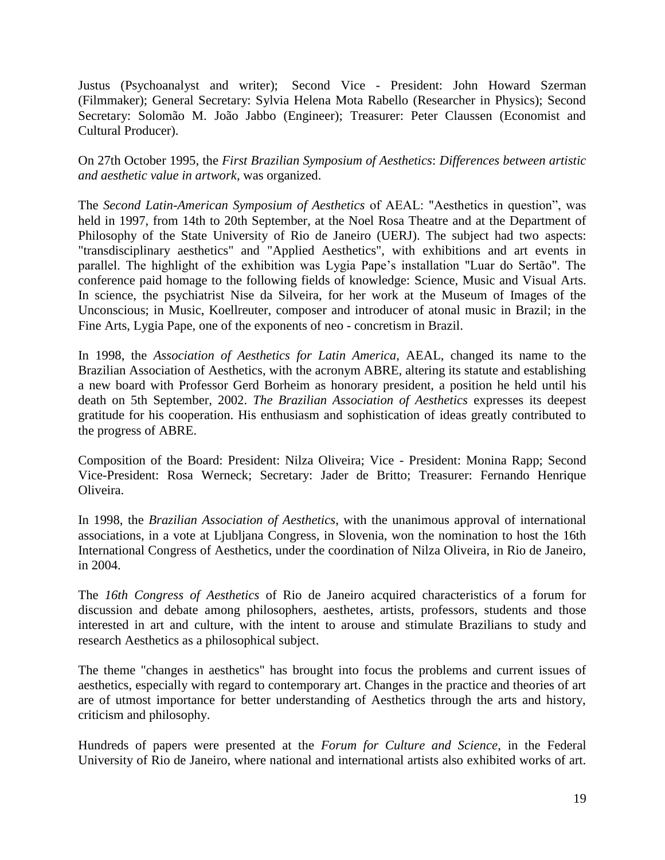Justus (Psychoanalyst and writer); Second Vice - President: John Howard Szerman (Filmmaker); General Secretary: Sylvia Helena Mota Rabello (Researcher in Physics); Second Secretary: Solomão M. João Jabbo (Engineer); Treasurer: Peter Claussen (Economist and Cultural Producer).

On 27th October 1995, the *First Brazilian Symposium of Aesthetics*: *Differences between artistic and aesthetic value in artwork,* was organized.

The *Second Latin-American Symposium of Aesthetics* of AEAL: "Aesthetics in question", was held in 1997, from 14th to 20th September, at the Noel Rosa Theatre and at the Department of Philosophy of the State University of Rio de Janeiro (UERJ). The subject had two aspects: "transdisciplinary aesthetics" and "Applied Aesthetics", with exhibitions and art events in parallel. The highlight of the exhibition was Lygia Pape's installation "Luar do Sertão". The conference paid homage to the following fields of knowledge: Science, Music and Visual Arts. In science, the psychiatrist Nise da Silveira, for her work at the Museum of Images of the Unconscious; in Music, Koellreuter, composer and introducer of atonal music in Brazil; in the Fine Arts, Lygia Pape, one of the exponents of neo - concretism in Brazil.

In 1998, the *Association of Aesthetics for Latin America*, AEAL, changed its name to the Brazilian Association of Aesthetics, with the acronym ABRE, altering its statute and establishing a new board with Professor Gerd Borheim as honorary president, a position he held until his death on 5th September, 2002. *The Brazilian Association of Aesthetics* expresses its deepest gratitude for his cooperation. His enthusiasm and sophistication of ideas greatly contributed to the progress of ABRE.

Composition of the Board: President: Nilza Oliveira; Vice - President: Monina Rapp; Second Vice-President: Rosa Werneck; Secretary: Jader de Britto; Treasurer: Fernando Henrique Oliveira.

In 1998, the *Brazilian Association of Aesthetics*, with the unanimous approval of international associations, in a vote at Ljubljana Congress, in Slovenia, won the nomination to host the 16th International Congress of Aesthetics, under the coordination of Nilza Oliveira, in Rio de Janeiro, in 2004.

The *16th Congress of Aesthetics* of Rio de Janeiro acquired characteristics of a forum for discussion and debate among philosophers, aesthetes, artists, professors, students and those interested in art and culture, with the intent to arouse and stimulate Brazilians to study and research Aesthetics as a philosophical subject.

The theme "changes in aesthetics" has brought into focus the problems and current issues of aesthetics, especially with regard to contemporary art. Changes in the practice and theories of art are of utmost importance for better understanding of Aesthetics through the arts and history, criticism and philosophy.

Hundreds of papers were presented at the *Forum for Culture and Science*, in the Federal University of Rio de Janeiro, where national and international artists also exhibited works of art.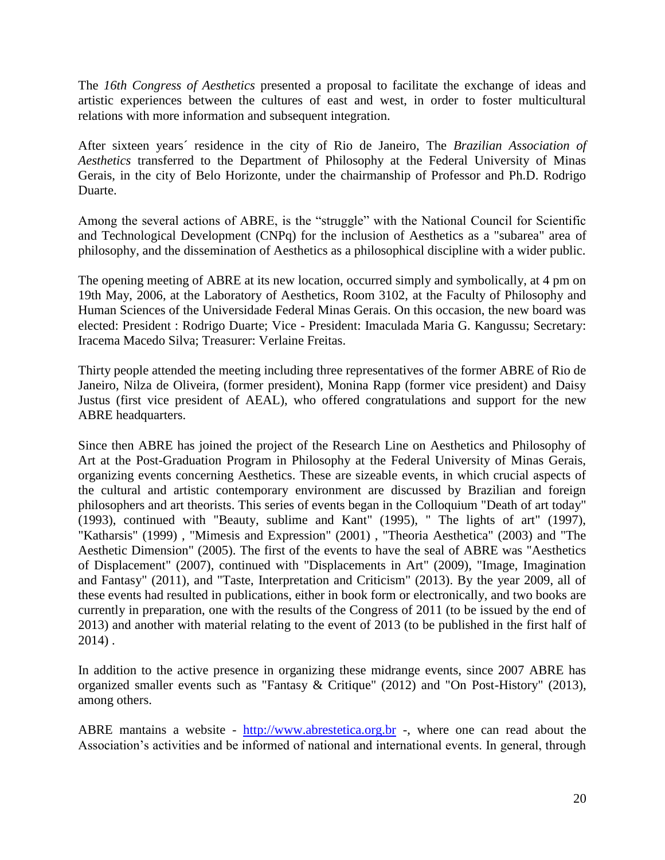The *16th Congress of Aesthetics* presented a proposal to facilitate the exchange of ideas and artistic experiences between the cultures of east and west, in order to foster multicultural relations with more information and subsequent integration.

After sixteen years´ residence in the city of Rio de Janeiro, The *Brazilian Association of Aesthetics* transferred to the Department of Philosophy at the Federal University of Minas Gerais, in the city of Belo Horizonte, under the chairmanship of Professor and Ph.D. Rodrigo Duarte.

Among the several actions of ABRE, is the "struggle" with the National Council for Scientific and Technological Development (CNPq) for the inclusion of Aesthetics as a "subarea" area of philosophy, and the dissemination of Aesthetics as a philosophical discipline with a wider public.

The opening meeting of ABRE at its new location, occurred simply and symbolically, at 4 pm on 19th May, 2006, at the Laboratory of Aesthetics, Room 3102, at the Faculty of Philosophy and Human Sciences of the Universidade Federal Minas Gerais. On this occasion, the new board was elected: President : Rodrigo Duarte; Vice - President: Imaculada Maria G. Kangussu; Secretary: Iracema Macedo Silva; Treasurer: Verlaine Freitas.

Thirty people attended the meeting including three representatives of the former ABRE of Rio de Janeiro, Nilza de Oliveira, (former president), Monina Rapp (former vice president) and Daisy Justus (first vice president of AEAL), who offered congratulations and support for the new ABRE headquarters.

Since then ABRE has joined the project of the Research Line on Aesthetics and Philosophy of Art at the Post-Graduation Program in Philosophy at the Federal University of Minas Gerais, organizing events concerning Aesthetics. These are sizeable events, in which crucial aspects of the cultural and artistic contemporary environment are discussed by Brazilian and foreign philosophers and art theorists. This series of events began in the Colloquium "Death of art today" (1993), continued with "Beauty, sublime and Kant" (1995), " The lights of art" (1997), "Katharsis" (1999) , "Mimesis and Expression" (2001) , "Theoria Aesthetica" (2003) and "The Aesthetic Dimension" (2005). The first of the events to have the seal of ABRE was "Aesthetics of Displacement" (2007), continued with "Displacements in Art" (2009), "Image, Imagination and Fantasy" (2011), and "Taste, Interpretation and Criticism" (2013). By the year 2009, all of these events had resulted in publications, either in book form or electronically, and two books are currently in preparation, one with the results of the Congress of 2011 (to be issued by the end of 2013) and another with material relating to the event of 2013 (to be published in the first half of 2014) .

In addition to the active presence in organizing these midrange events, since 2007 ABRE has organized smaller events such as "Fantasy & Critique" (2012) and "On Post-History" (2013), among others.

ABRE mantains a website - [http://www.abrestetica.org.br](http://www.abrestetica.org.br/) -, where one can read about the Association's activities and be informed of national and international events. In general, through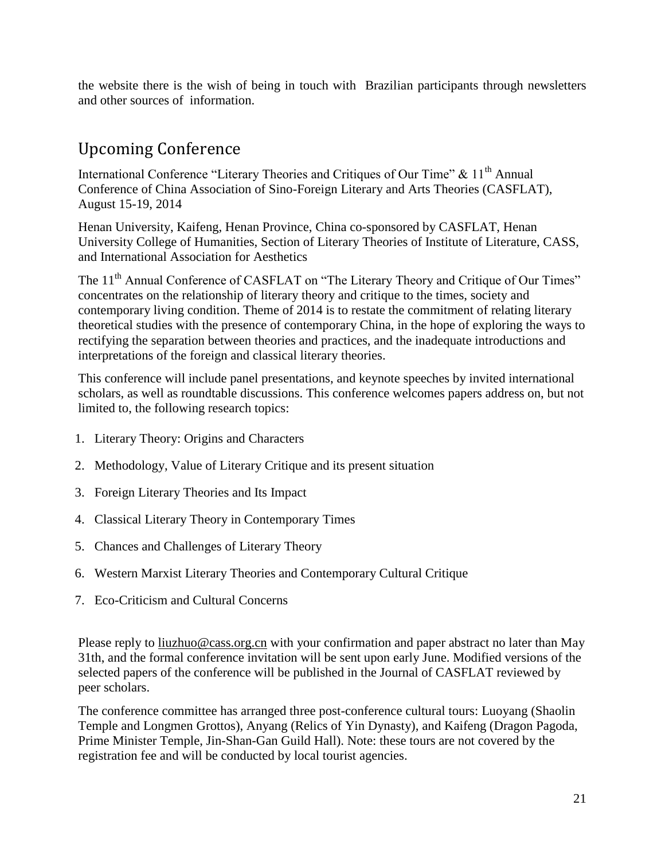the website there is the wish of being in touch with Brazilian participants through newsletters and other sources of information.

# Upcoming Conference

International Conference "Literary Theories and Critiques of Our Time"  $\&$  11<sup>th</sup> Annual Conference of China Association of Sino-Foreign Literary and Arts Theories (CASFLAT), August 15-19, 2014

Henan University, Kaifeng, Henan Province, China co-sponsored by CASFLAT, Henan University College of Humanities, Section of Literary Theories of Institute of Literature, CASS, and International Association for Aesthetics

The 11<sup>th</sup> Annual Conference of CASFLAT on "The Literary Theory and Critique of Our Times" concentrates on the relationship of literary theory and critique to the times, society and contemporary living condition. Theme of 2014 is to restate the commitment of relating literary theoretical studies with the presence of contemporary China, in the hope of exploring the ways to rectifying the separation between theories and practices, and the inadequate introductions and interpretations of the foreign and classical literary theories.

This conference will include panel presentations, and keynote speeches by invited international scholars, as well as roundtable discussions. This conference welcomes papers address on, but not limited to, the following research topics:

- 1. Literary Theory: Origins and Characters
- 2. Methodology, Value of Literary Critique and its present situation
- 3. Foreign Literary Theories and Its Impact
- 4. Classical Literary Theory in Contemporary Times
- 5. Chances and Challenges of Literary Theory
- 6. Western Marxist Literary Theories and Contemporary Cultural Critique
- 7. Eco-Criticism and Cultural Concerns

Please reply to [liuzhuo@cass.org.cn](mailto:liuzhuo@cass.org.cn) with your confirmation and paper abstract no later than May 31th, and the formal conference invitation will be sent upon early June. Modified versions of the selected papers of the conference will be published in the Journal of CASFLAT reviewed by peer scholars.

The conference committee has arranged three post-conference cultural tours: Luoyang (Shaolin Temple and Longmen Grottos), Anyang (Relics of Yin Dynasty), and Kaifeng (Dragon Pagoda, Prime Minister Temple, Jin-Shan-Gan Guild Hall). Note: these tours are not covered by the registration fee and will be conducted by local tourist agencies.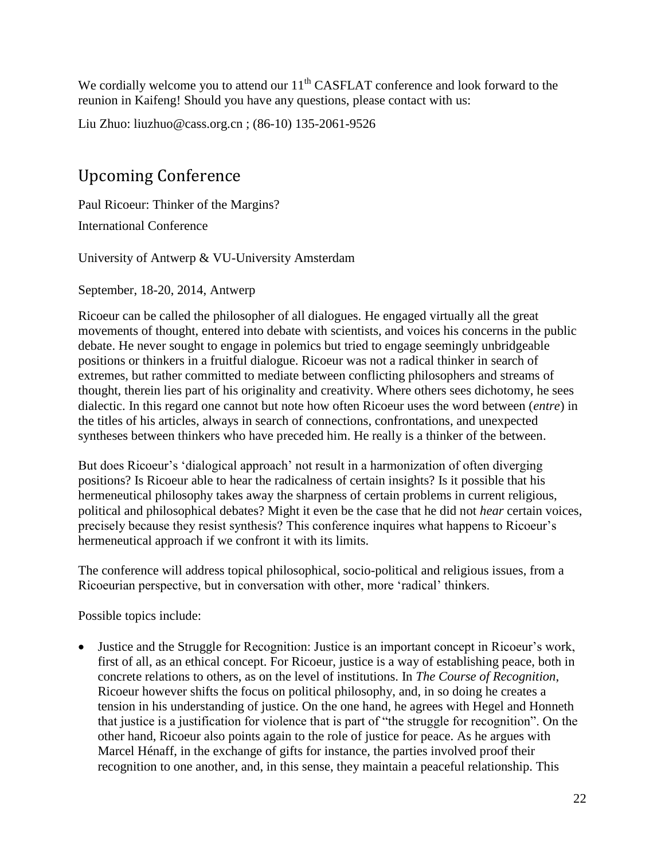We cordially welcome you to attend our  $11<sup>th</sup>$  CASFLAT conference and look forward to the reunion in Kaifeng! Should you have any questions, please contact with us:

Liu Zhuo: [liuzhuo@cass.org.cn](mailto:liuzhuo@cass.org.cn) ; (86-10) 135-2061-9526

# Upcoming Conference

Paul Ricoeur: Thinker of the Margins?

International Conference

University of Antwerp & VU-University Amsterdam

September, 18-20, 2014, Antwerp

Ricoeur can be called the philosopher of all dialogues. He engaged virtually all the great movements of thought, entered into debate with scientists, and voices his concerns in the public debate. He never sought to engage in polemics but tried to engage seemingly unbridgeable positions or thinkers in a fruitful dialogue. Ricoeur was not a radical thinker in search of extremes, but rather committed to mediate between conflicting philosophers and streams of thought, therein lies part of his originality and creativity. Where others sees dichotomy, he sees dialectic. In this regard one cannot but note how often Ricoeur uses the word between (*entre*) in the titles of his articles, always in search of connections, confrontations, and unexpected syntheses between thinkers who have preceded him. He really is a thinker of the between.

But does Ricoeur's 'dialogical approach' not result in a harmonization of often diverging positions? Is Ricoeur able to hear the radicalness of certain insights? Is it possible that his hermeneutical philosophy takes away the sharpness of certain problems in current religious, political and philosophical debates? Might it even be the case that he did not *hear* certain voices, precisely because they resist synthesis? This conference inquires what happens to Ricoeur's hermeneutical approach if we confront it with its limits.

The conference will address topical philosophical, socio-political and religious issues, from a Ricoeurian perspective, but in conversation with other, more 'radical' thinkers.

Possible topics include:

 Justice and the Struggle for Recognition: Justice is an important concept in Ricoeur's work, first of all, as an ethical concept. For Ricoeur, justice is a way of establishing peace, both in concrete relations to others, as on the level of institutions. In *The Course of Recognition*, Ricoeur however shifts the focus on political philosophy, and, in so doing he creates a tension in his understanding of justice. On the one hand, he agrees with Hegel and Honneth that justice is a justification for violence that is part of "the struggle for recognition". On the other hand, Ricoeur also points again to the role of justice for peace. As he argues with Marcel Hénaff, in the exchange of gifts for instance, the parties involved proof their recognition to one another, and, in this sense, they maintain a peaceful relationship. This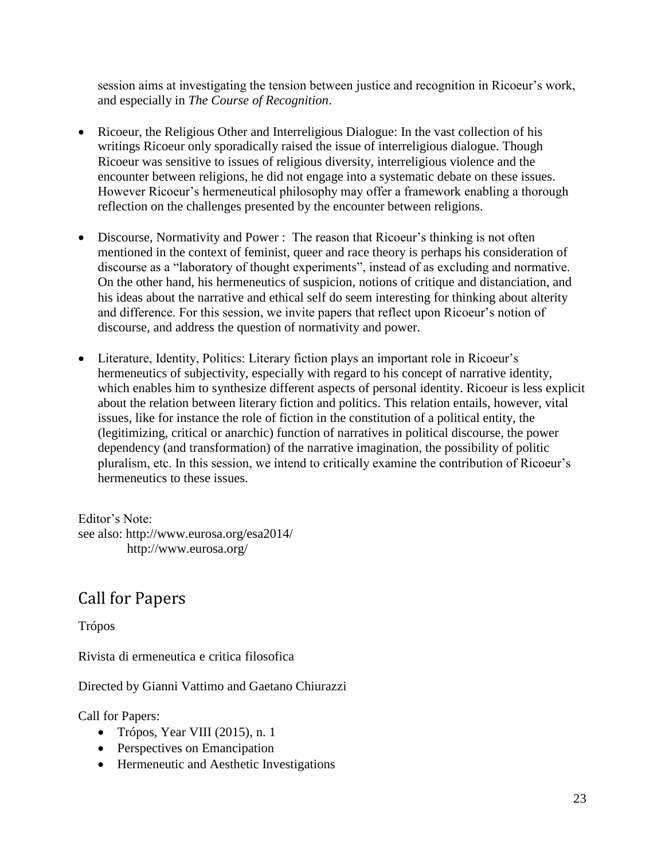session aims at investigating the tension between justice and recognition in Ricoeur's work, and especially in *The Course of Recognition*.

- Ricoeur, the Religious Other and Interreligious Dialogue: In the vast collection of his writings Ricoeur only sporadically raised the issue of interreligious dialogue. Though Ricoeur was sensitive to issues of religious diversity, interreligious violence and the encounter between religions, he did not engage into a systematic debate on these issues. However Ricoeur's hermeneutical philosophy may offer a framework enabling a thorough reflection on the challenges presented by the encounter between religions.
- Discourse, Normativity and Power : The reason that Ricoeur's thinking is not often mentioned in the context of feminist, queer and race theory is perhaps his consideration of discourse as a "laboratory of thought experiments", instead of as excluding and normative. On the other hand, his hermeneutics of suspicion, notions of critique and distanciation, and his ideas about the narrative and ethical self do seem interesting for thinking about alterity and difference. For this session, we invite papers that reflect upon Ricoeur's notion of discourse, and address the question of normativity and power.
- Literature, Identity, Politics: Literary fiction plays an important role in Ricoeur's hermeneutics of subjectivity, especially with regard to his concept of narrative identity, which enables him to synthesize different aspects of personal identity. Ricoeur is less explicit about the relation between literary fiction and politics. This relation entails, however, vital issues, like for instance the role of fiction in the constitution of a political entity, the (legitimizing, critical or anarchic) function of narratives in political discourse, the power dependency (and transformation) of the narrative imagination, the possibility of politic pluralism, etc. In this session, we intend to critically examine the contribution of Ricoeur's hermeneutics to these issues.

Editor's Note: see also: http://www.eurosa.org/esa2014/ http://www.eurosa.org/

# Call for Papers

### Trópos

Rivista di ermeneutica e critica filosofica

Directed by Gianni Vattimo and Gaetano Chiurazzi

Call for Papers:

- $\bullet$  Trópos, Year VIII (2015), n. 1
- Perspectives on Emancipation
- Hermeneutic and Aesthetic Investigations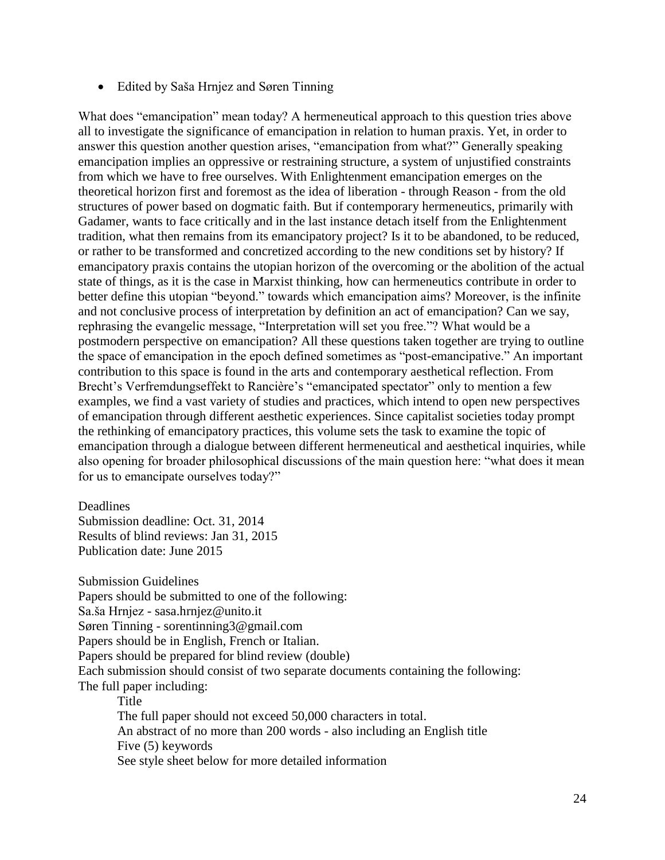Edited by Saša Hrnjez and Søren Tinning

What does "emancipation" mean today? A hermeneutical approach to this question tries above all to investigate the significance of emancipation in relation to human praxis. Yet, in order to answer this question another question arises, "emancipation from what?" Generally speaking emancipation implies an oppressive or restraining structure, a system of unjustified constraints from which we have to free ourselves. With Enlightenment emancipation emerges on the theoretical horizon first and foremost as the idea of liberation - through Reason - from the old structures of power based on dogmatic faith. But if contemporary hermeneutics, primarily with Gadamer, wants to face critically and in the last instance detach itself from the Enlightenment tradition, what then remains from its emancipatory project? Is it to be abandoned, to be reduced, or rather to be transformed and concretized according to the new conditions set by history? If emancipatory praxis contains the utopian horizon of the overcoming or the abolition of the actual state of things, as it is the case in Marxist thinking, how can hermeneutics contribute in order to better define this utopian "beyond." towards which emancipation aims? Moreover, is the infinite and not conclusive process of interpretation by definition an act of emancipation? Can we say, rephrasing the evangelic message, "Interpretation will set you free."? What would be a postmodern perspective on emancipation? All these questions taken together are trying to outline the space of emancipation in the epoch defined sometimes as "post-emancipative." An important contribution to this space is found in the arts and contemporary aesthetical reflection. From Brecht's Verfremdungseffekt to Rancière's "emancipated spectator" only to mention a few examples, we find a vast variety of studies and practices, which intend to open new perspectives of emancipation through different aesthetic experiences. Since capitalist societies today prompt the rethinking of emancipatory practices, this volume sets the task to examine the topic of emancipation through a dialogue between different hermeneutical and aesthetical inquiries, while also opening for broader philosophical discussions of the main question here: "what does it mean for us to emancipate ourselves today?"

Deadlines

Submission deadline: Oct. 31, 2014 Results of blind reviews: Jan 31, 2015 Publication date: June 2015

Submission Guidelines Papers should be submitted to one of the following: Sa.ša Hrnjez - sasa.hrnjez@unito.it Søren Tinning - sorentinning3@gmail.com Papers should be in English, French or Italian. Papers should be prepared for blind review (double) Each submission should consist of two separate documents containing the following: The full paper including: Title The full paper should not exceed 50,000 characters in total.

An abstract of no more than 200 words - also including an English title Five (5) keywords

See style sheet below for more detailed information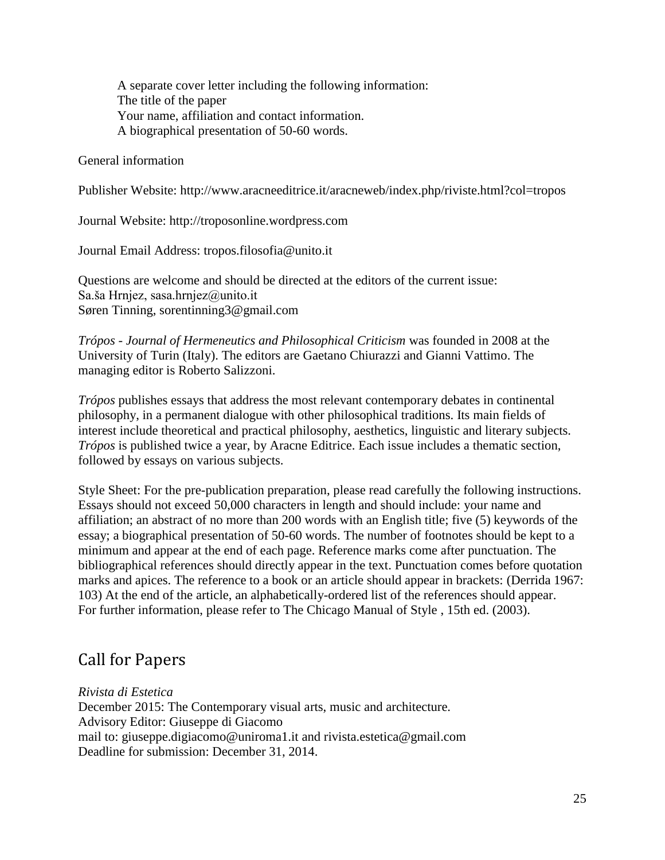A separate cover letter including the following information: The title of the paper Your name, affiliation and contact information. A biographical presentation of 50-60 words.

#### General information

Publisher Website: http://www.aracneeditrice.it/aracneweb/index.php/riviste.html?col=tropos

Journal Website: http://troposonline.wordpress.com

Journal Email Address: tropos.filosofia@unito.it

Questions are welcome and should be directed at the editors of the current issue: Sa.ša Hrnjez, sasa.hrnjez@unito.it Søren Tinning, sorentinning3@gmail.com

*Trópos* - *Journal of Hermeneutics and Philosophical Criticism* was founded in 2008 at the University of Turin (Italy). The editors are Gaetano Chiurazzi and Gianni Vattimo. The managing editor is Roberto Salizzoni.

*Trópos* publishes essays that address the most relevant contemporary debates in continental philosophy, in a permanent dialogue with other philosophical traditions. Its main fields of interest include theoretical and practical philosophy, aesthetics, linguistic and literary subjects. *Trópos* is published twice a year, by Aracne Editrice. Each issue includes a thematic section, followed by essays on various subjects.

Style Sheet: For the pre-publication preparation, please read carefully the following instructions. Essays should not exceed 50,000 characters in length and should include: your name and affiliation; an abstract of no more than 200 words with an English title; five (5) keywords of the essay; a biographical presentation of 50-60 words. The number of footnotes should be kept to a minimum and appear at the end of each page. Reference marks come after punctuation. The bibliographical references should directly appear in the text. Punctuation comes before quotation marks and apices. The reference to a book or an article should appear in brackets: (Derrida 1967: 103) At the end of the article, an alphabetically-ordered list of the references should appear. For further information, please refer to The Chicago Manual of Style , 15th ed. (2003).

### Call for Papers

*Rivista di Estetica*

December 2015: The Contemporary visual arts, music and architecture. Advisory Editor: Giuseppe di Giacomo mail to: giuseppe.digiacomo@uniroma1.it and rivista.estetica@gmail.com Deadline for submission: December 31, 2014.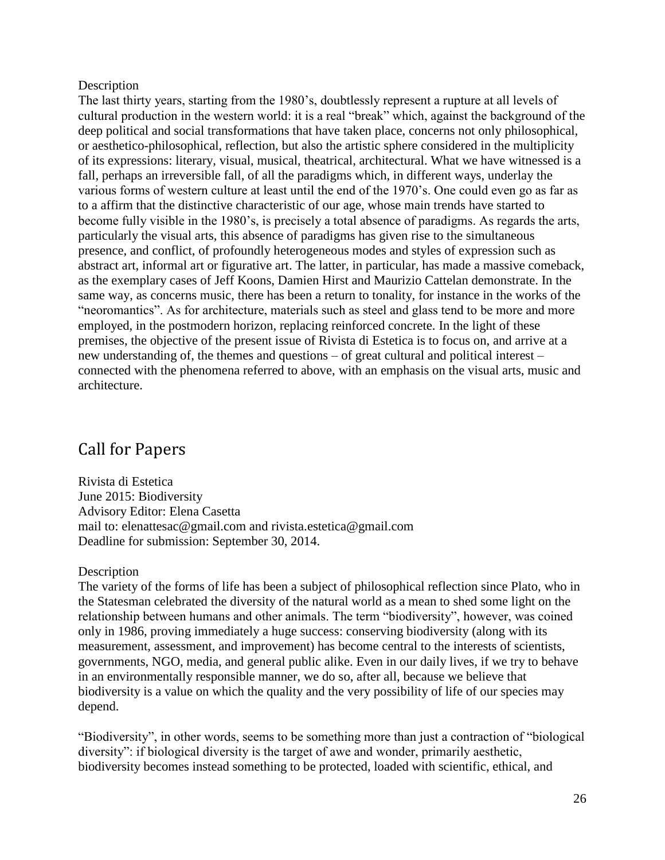#### **Description**

The last thirty years, starting from the 1980's, doubtlessly represent a rupture at all levels of cultural production in the western world: it is a real "break" which, against the background of the deep political and social transformations that have taken place, concerns not only philosophical, or aesthetico-philosophical, reflection, but also the artistic sphere considered in the multiplicity of its expressions: literary, visual, musical, theatrical, architectural. What we have witnessed is a fall, perhaps an irreversible fall, of all the paradigms which, in different ways, underlay the various forms of western culture at least until the end of the 1970's. One could even go as far as to a affirm that the distinctive characteristic of our age, whose main trends have started to become fully visible in the 1980's, is precisely a total absence of paradigms. As regards the arts, particularly the visual arts, this absence of paradigms has given rise to the simultaneous presence, and conflict, of profoundly heterogeneous modes and styles of expression such as abstract art, informal art or figurative art. The latter, in particular, has made a massive comeback, as the exemplary cases of Jeff Koons, Damien Hirst and Maurizio Cattelan demonstrate. In the same way, as concerns music, there has been a return to tonality, for instance in the works of the "neoromantics". As for architecture, materials such as steel and glass tend to be more and more employed, in the postmodern horizon, replacing reinforced concrete. In the light of these premises, the objective of the present issue of Rivista di Estetica is to focus on, and arrive at a new understanding of, the themes and questions – of great cultural and political interest – connected with the phenomena referred to above, with an emphasis on the visual arts, music and architecture.

## Call for Papers

Rivista di Estetica June 2015: Biodiversity Advisory Editor: Elena Casetta mail to: elenattesac@gmail.com and rivista.estetica@gmail.com Deadline for submission: September 30, 2014.

#### **Description**

The variety of the forms of life has been a subject of philosophical reflection since Plato, who in the Statesman celebrated the diversity of the natural world as a mean to shed some light on the relationship between humans and other animals. The term "biodiversity", however, was coined only in 1986, proving immediately a huge success: conserving biodiversity (along with its measurement, assessment, and improvement) has become central to the interests of scientists, governments, NGO, media, and general public alike. Even in our daily lives, if we try to behave in an environmentally responsible manner, we do so, after all, because we believe that biodiversity is a value on which the quality and the very possibility of life of our species may depend.

"Biodiversity", in other words, seems to be something more than just a contraction of "biological diversity": if biological diversity is the target of awe and wonder, primarily aesthetic, biodiversity becomes instead something to be protected, loaded with scientific, ethical, and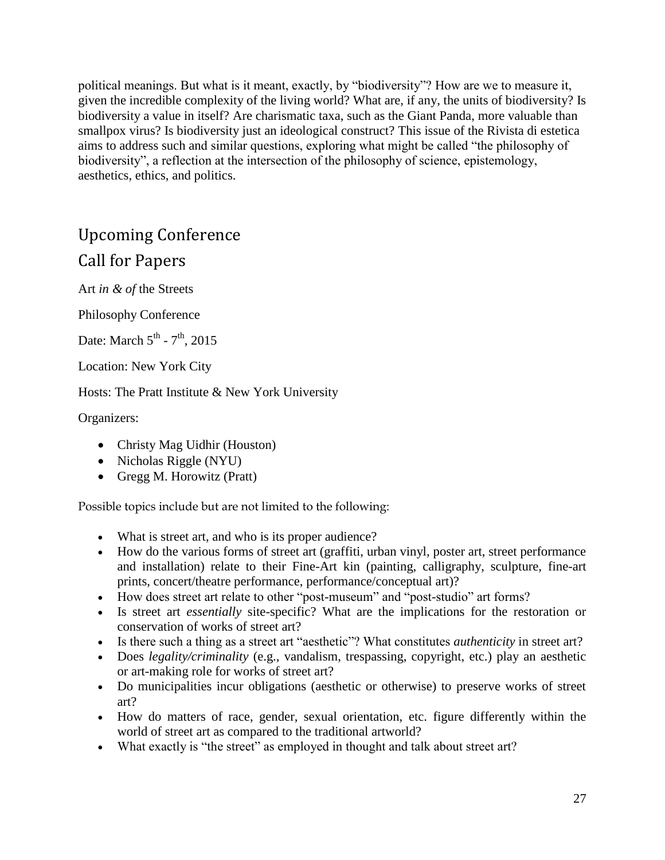political meanings. But what is it meant, exactly, by "biodiversity"? How are we to measure it, given the incredible complexity of the living world? What are, if any, the units of biodiversity? Is biodiversity a value in itself? Are charismatic taxa, such as the Giant Panda, more valuable than smallpox virus? Is biodiversity just an ideological construct? This issue of the Rivista di estetica aims to address such and similar questions, exploring what might be called "the philosophy of biodiversity", a reflection at the intersection of the philosophy of science, epistemology, aesthetics, ethics, and politics.

# Upcoming Conference

### Call for Papers

Art *in & of* the Streets

Philosophy Conference

Date: March  $5^{\text{th}}$  -  $7^{\text{th}}$ , 2015

Location: New York City

Hosts: The Pratt Institute & New York University

Organizers:

- Christy Mag Uidhir (Houston)
- Nicholas Riggle (NYU)
- Gregg M. Horowitz (Pratt)

Possible topics include but are not limited to the following:

- What is street art, and who is its proper audience?
- How do the various forms of street art (graffiti, urban vinyl, poster art, street performance and installation) relate to their Fine-Art kin (painting, calligraphy, sculpture, fine-art prints, concert/theatre performance, performance/conceptual art)?
- How does street art relate to other "post-museum" and "post-studio" art forms?
- Is street art *essentially* site-specific? What are the implications for the restoration or conservation of works of street art?
- Is there such a thing as a street art "aesthetic"? What constitutes *authenticity* in street art?
- Does *legality/criminality* (e.g., vandalism, trespassing, copyright, etc.) play an aesthetic or art-making role for works of street art?
- Do municipalities incur obligations (aesthetic or otherwise) to preserve works of street art?
- How do matters of race, gender, sexual orientation, etc. figure differently within the world of street art as compared to the traditional artworld?
- What exactly is "the street" as employed in thought and talk about street art?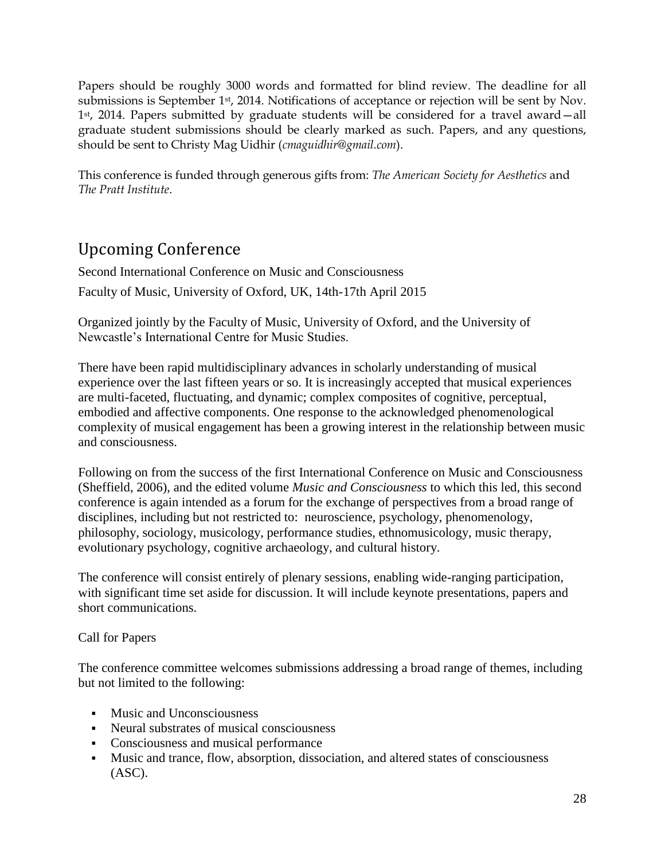Papers should be roughly 3000 words and formatted for blind review. The deadline for all submissions is September 1<sup>st</sup>, 2014. Notifications of acceptance or rejection will be sent by Nov. 1st, 2014. Papers submitted by graduate students will be considered for a travel award—all graduate student submissions should be clearly marked as such. Papers, and any questions, should be sent to Christy Mag Uidhir (*cmaguidhir@gmail.com*).

This conference is funded through generous gifts from: *The American Society for Aesthetics* and *The Pratt Institute*.

# Upcoming Conference

Second International Conference on Music and Consciousness Faculty of Music, University of Oxford, UK, 14th-17th April 2015

Organized jointly by the Faculty of Music, University of Oxford, and the University of Newcastle's International Centre for Music Studies.

There have been rapid multidisciplinary advances in scholarly understanding of musical experience over the last fifteen years or so. It is increasingly accepted that musical experiences are multi-faceted, fluctuating, and dynamic; complex composites of cognitive, perceptual, embodied and affective components. One response to the acknowledged phenomenological complexity of musical engagement has been a growing interest in the relationship between music and consciousness.

Following on from the success of the first International Conference on Music and Consciousness (Sheffield, 2006), and the edited volume *Music and Consciousness* to which this led, this second conference is again intended as a forum for the exchange of perspectives from a broad range of disciplines, including but not restricted to: neuroscience, psychology, phenomenology, philosophy, sociology, musicology, performance studies, ethnomusicology, music therapy, evolutionary psychology, cognitive archaeology, and cultural history.

The conference will consist entirely of plenary sessions, enabling wide-ranging participation, with significant time set aside for discussion. It will include keynote presentations, papers and short communications.

### Call for Papers

The conference committee welcomes submissions addressing a broad range of themes, including but not limited to the following:

- **Music and Unconsciousness**
- Neural substrates of musical consciousness
- Consciousness and musical performance
- Music and trance, flow, absorption, dissociation, and altered states of consciousness (ASC).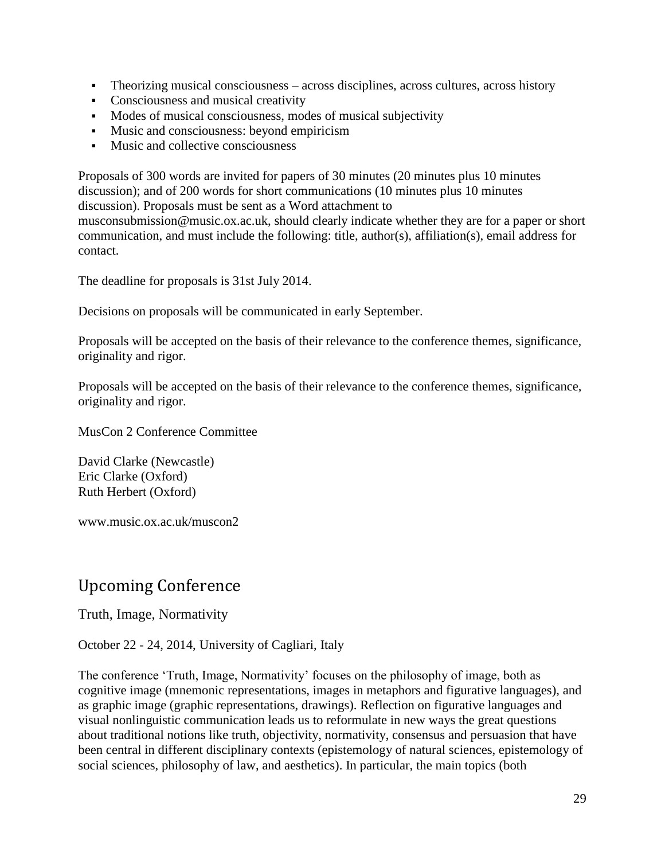- Theorizing musical consciousness across disciplines, across cultures, across history
- Consciousness and musical creativity
- Modes of musical consciousness, modes of musical subjectivity
- Music and consciousness: beyond empiricism
- **Music and collective consciousness**

Proposals of 300 words are invited for papers of 30 minutes (20 minutes plus 10 minutes discussion); and of 200 words for short communications (10 minutes plus 10 minutes discussion). Proposals must be sent as a Word attachment to

musconsubmission@music.ox.ac.uk, should clearly indicate whether they are for a paper or short communication, and must include the following: title, author(s), affiliation(s), email address for contact.

The deadline for proposals is 31st July 2014.

Decisions on proposals will be communicated in early September.

Proposals will be accepted on the basis of their relevance to the conference themes, significance, originality and rigor.

Proposals will be accepted on the basis of their relevance to the conference themes, significance, originality and rigor.

MusCon 2 Conference Committee

David Clarke (Newcastle) Eric Clarke (Oxford) Ruth Herbert (Oxford)

[www.music.ox.ac.uk/muscon2](http://www.music.ox.ac.uk/muscon2)

## Upcoming Conference

Truth, Image, Normativity

October 22 - 24, 2014, University of Cagliari, Italy

The conference 'Truth, Image, Normativity' focuses on the philosophy of image, both as cognitive image (mnemonic representations, images in metaphors and figurative languages), and as graphic image (graphic representations, drawings). Reflection on figurative languages and visual nonlinguistic communication leads us to reformulate in new ways the great questions about traditional notions like truth, objectivity, normativity, consensus and persuasion that have been central in different disciplinary contexts (epistemology of natural sciences, epistemology of social sciences, philosophy of law, and aesthetics). In particular, the main topics (both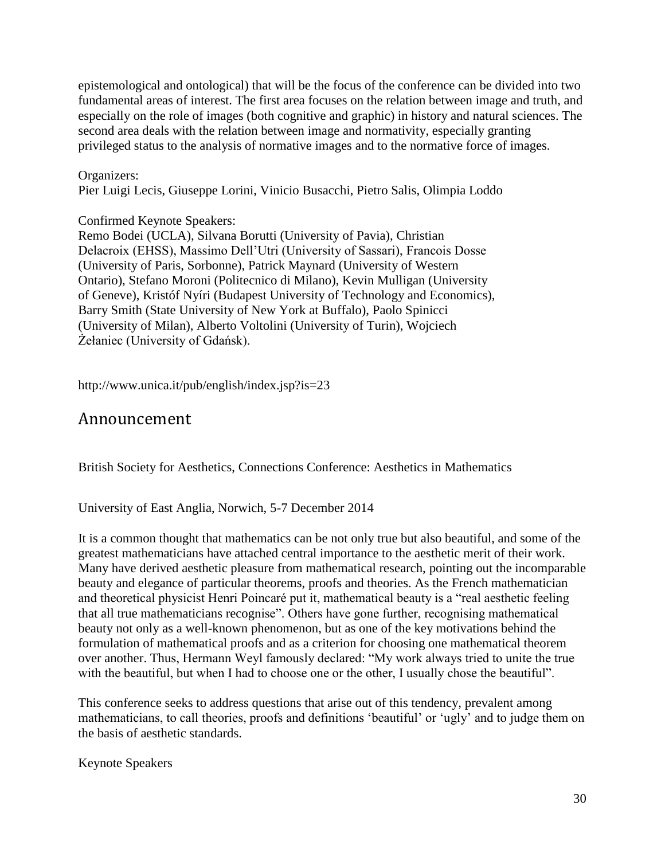epistemological and ontological) that will be the focus of the conference can be divided into two fundamental areas of interest. The first area focuses on the relation between image and truth, and especially on the role of images (both cognitive and graphic) in history and natural sciences. The second area deals with the relation between image and normativity, especially granting privileged status to the analysis of normative images and to the normative force of images.

#### Organizers:

Pier Luigi Lecis, Giuseppe Lorini, Vinicio Busacchi, Pietro Salis, Olimpia Loddo

#### Confirmed Keynote Speakers:

Remo Bodei (UCLA), Silvana Borutti (University of Pavia), Christian Delacroix (EHSS), Massimo Dell'Utri (University of Sassari), Francois Dosse (University of Paris, Sorbonne), Patrick Maynard (University of Western Ontario), Stefano Moroni (Politecnico di Milano), Kevin Mulligan (University of Geneve), Kristóf Nyíri (Budapest University of Technology and Economics), Barry Smith (State University of New York at Buffalo), Paolo Spinicci (University of Milan), Alberto Voltolini (University of Turin), Wojciech Żełaniec (University of Gdańsk).

http://www.unica.it/pub/english/index.jsp?is=23

### Announcement

British Society for Aesthetics, Connections Conference: Aesthetics in Mathematics

University of East Anglia, Norwich, 5-7 December 2014

It is a common thought that mathematics can be not only true but also beautiful, and some of the greatest mathematicians have attached central importance to the aesthetic merit of their work. Many have derived aesthetic pleasure from mathematical research, pointing out the incomparable beauty and elegance of particular theorems, proofs and theories. As the French mathematician and theoretical physicist Henri Poincaré put it, mathematical beauty is a "real aesthetic feeling that all true mathematicians recognise". Others have gone further, recognising mathematical beauty not only as a well-known phenomenon, but as one of the key motivations behind the formulation of mathematical proofs and as a criterion for choosing one mathematical theorem over another. Thus, Hermann Weyl famously declared: "My work always tried to unite the true with the beautiful, but when I had to choose one or the other, I usually chose the beautiful".

This conference seeks to address questions that arise out of this tendency, prevalent among mathematicians, to call theories, proofs and definitions 'beautiful' or 'ugly' and to judge them on the basis of aesthetic standards.

Keynote Speakers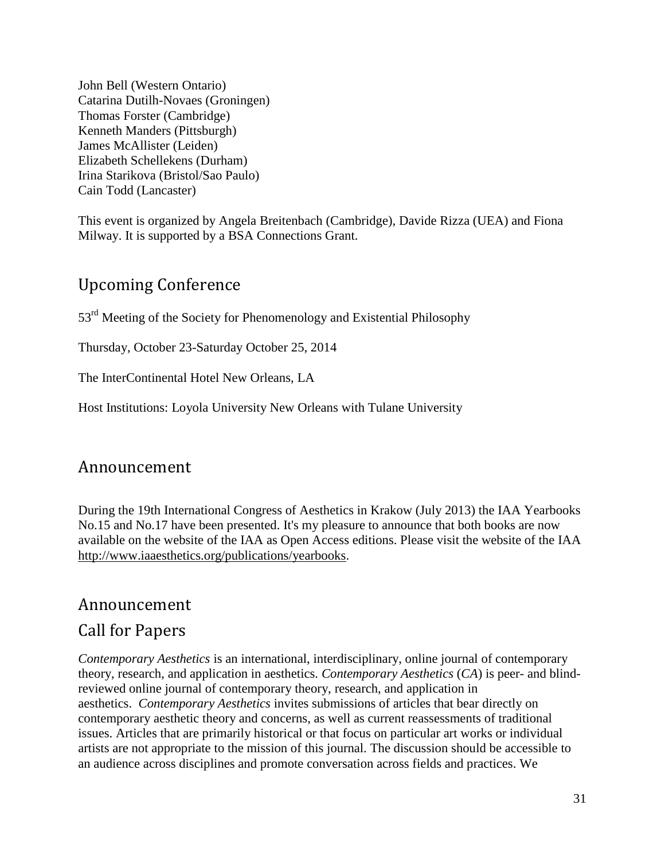[John Bell](http://publish.uwo.ca/~jbell/) (Western Ontario) [Catarina Dutilh-Novaes](https://sites.google.com/site/catarinadutilhnovaes/) (Groningen) [Thomas Forster](https://www.dpmms.cam.ac.uk/~tf/) (Cambridge) [Kenneth Manders](http://www.philosophy.pitt.edu/person/kenneth-manders) (Pittsburgh) [James McAllister](http://www.hum.leiden.edu/philosophy/academic-staff/mcallister.html) (Leiden) [Elizabeth Schellekens](https://www.dur.ac.uk/philosophy/staff/?id=4295) (Durham) [Irina Starikova](https://bristol.academia.edu/IrinaStarikova) (Bristol/Sao Paulo) [Cain Todd](http://www.lancaster.ac.uk/fass/ppr/profiles/cain-todd) (Lancaster)

This event is organized by [Angela Breitenbach](http://www.phil.cam.ac.uk/people/teaching-research-pages/breitenbach/breitenbach-page) (Cambridge), [Davide Rizza](https://eastanglia.academia.edu/DavideRizza) (UEA) and [Fiona](https://eastanglia.academia.edu/FionaMilway)  [Milway.](https://eastanglia.academia.edu/FionaMilway) It is supported by a BSA Connections Grant.

## Upcoming Conference

53<sup>rd</sup> Meeting of the Society for Phenomenology and Existential Philosophy

Thursday, October 23-Saturday October 25, 2014

The InterContinental Hotel New Orleans, LA

Host Institutions: Loyola University New Orleans with Tulane University

## Announcement

During the 19th International Congress of Aesthetics in Krakow (July 2013) the IAA Yearbooks No.15 and No.17 have been presented. It's my pleasure to announce that both books are now available on the website of the IAA as Open Access editions. Please visit the website of the IAA [http://www.iaaesthetics.org/publications/yearbooks.](http://www.iaaesthetics.org/publications/yearbooks)

### Announcement

### Call for Papers

*[Contemporary Aesthetics](http://www.iaaesthetics.org/www.contempaesthetics.org)* is an international, interdisciplinary, online journal of contemporary theory, research, and application in aesthetics. *Contemporary Aesthetics* (*CA*) is peer- and blindreviewed online journal of contemporary theory, research, and application in aesthetics. *Contemporary Aesthetics* invites submissions of articles that bear directly on contemporary aesthetic theory and concerns, as well as current reassessments of traditional issues. Articles that are primarily historical or that focus on particular art works or individual artists are not appropriate to the mission of this journal. The discussion should be accessible to an audience across disciplines and promote conversation across fields and practices. We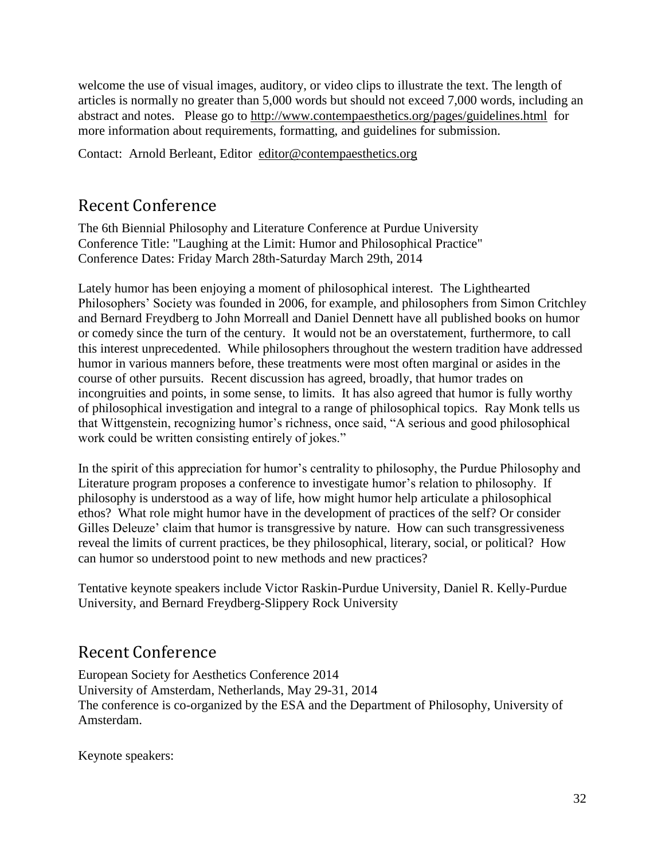welcome the use of visual images, auditory, or video clips to illustrate the text. The length of articles is normally no greater than 5,000 words but should not exceed 7,000 words, including an abstract and notes. Please go to<http://www.contempaesthetics.org/pages/guidelines.html> for more information about requirements, formatting, and guidelines for submission.

Contact: Arnold Berleant, Editor [editor@contempaesthetics.org](mailto:editor@contempaesthetics.org)

## Recent Conference

The 6th Biennial Philosophy and Literature Conference at Purdue University Conference Title: "Laughing at the Limit: Humor and Philosophical Practice" Conference Dates: Friday March 28th-Saturday March 29th, 2014

Lately humor has been enjoying a moment of philosophical interest. The Lighthearted Philosophers' Society was founded in 2006, for example, and philosophers from Simon Critchley and Bernard Freydberg to John Morreall and Daniel Dennett have all published books on humor or comedy since the turn of the century. It would not be an overstatement, furthermore, to call this interest unprecedented. While philosophers throughout the western tradition have addressed humor in various manners before, these treatments were most often marginal or asides in the course of other pursuits. Recent discussion has agreed, broadly, that humor trades on incongruities and points, in some sense, to limits. It has also agreed that humor is fully worthy of philosophical investigation and integral to a range of philosophical topics. Ray Monk tells us that Wittgenstein, recognizing humor's richness, once said, "A serious and good philosophical work could be written consisting entirely of jokes."

In the spirit of this appreciation for humor's centrality to philosophy, the Purdue Philosophy and Literature program proposes a conference to investigate humor's relation to philosophy. If philosophy is understood as a way of life, how might humor help articulate a philosophical ethos? What role might humor have in the development of practices of the self? Or consider Gilles Deleuze' claim that humor is transgressive by nature. How can such transgressiveness reveal the limits of current practices, be they philosophical, literary, social, or political? How can humor so understood point to new methods and new practices?

Tentative keynote speakers include Victor Raskin-Purdue University, Daniel R. Kelly-Purdue University, and Bernard Freydberg-Slippery Rock University

# Recent Conference

European Society for Aesthetics Conference 2014 University of Amsterdam, Netherlands, May 29-31, 2014 The conference is co-organized by the ESA and the Department of Philosophy, University of Amsterdam.

Keynote speakers: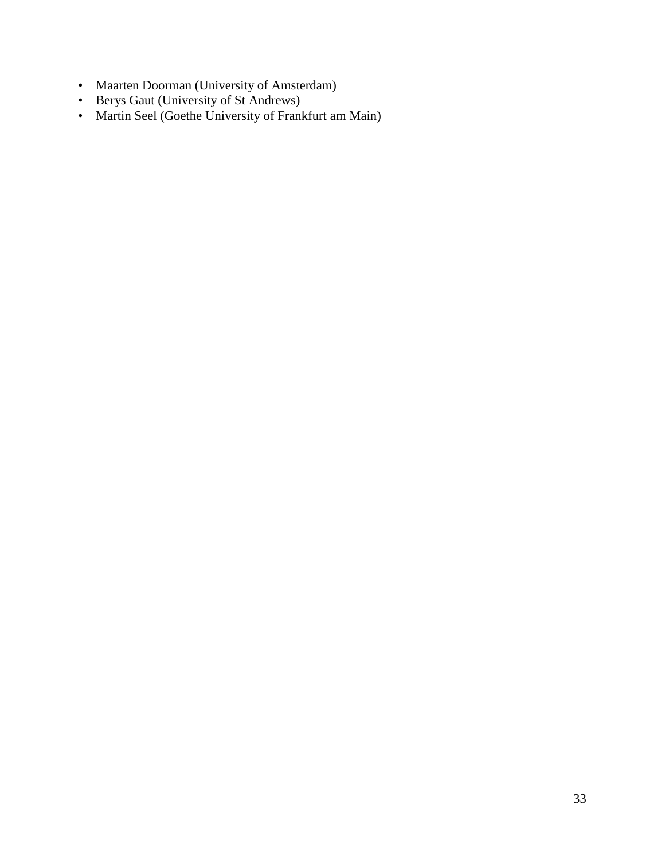- Maarten Doorman (University of Amsterdam)
- Berys Gaut (University of St Andrews)
- Martin Seel (Goethe University of Frankfurt am Main)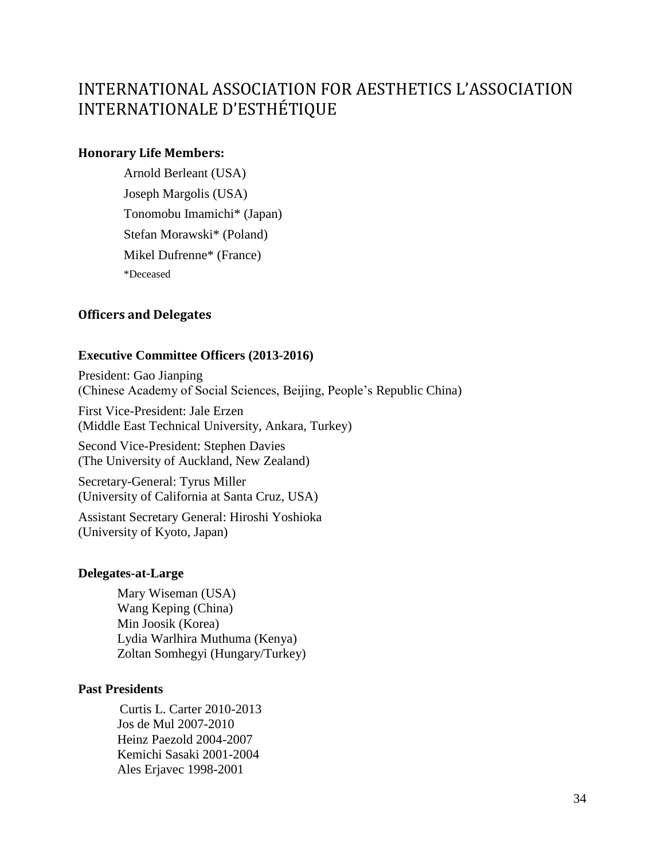# INTERNATIONAL ASSOCIATION FOR AESTHETICS L'ASSOCIATION INTERNATIONALE D'ESTHÉTIQUE

### **Honorary Life Members:**

Arnold Berleant (USA) Joseph Margolis (USA) Tonomobu Imamichi\* (Japan) Stefan Morawski\* (Poland) Mikel Dufrenne\* (France) \*Deceased

### **Officers and Delegates**

### **Executive Committee Officers (2013-2016)**

President: Gao Jianping (Chinese Academy of Social Sciences, Beijing, People's Republic China)

First Vice-President: Jale Erzen (Middle East Technical University, Ankara, Turkey)

Second Vice-President: Stephen Davies (The University of Auckland, New Zealand)

Secretary-General: Tyrus Miller (University of California at Santa Cruz, USA)

Assistant Secretary General: Hiroshi Yoshioka (University of Kyoto, Japan)

#### **Delegates-at-Large**

Mary Wiseman (USA) Wang Keping (China) Min Joosik (Korea) Lydia Warlhira Muthuma (Kenya) Zoltan Somhegyi (Hungary/Turkey)

### **Past Presidents**

Curtis L. Carter 2010-2013 Jos de Mul 2007-2010 Heinz Paezold 2004-2007 Kemichi Sasaki 2001-2004 Ales Erjavec 1998-2001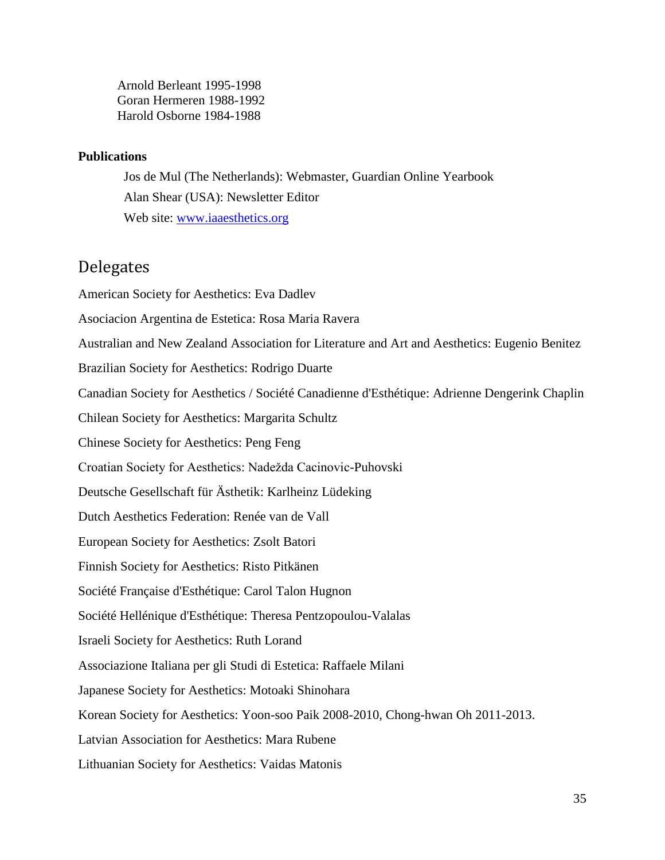Arnold Berleant 1995-1998 Goran Hermeren 1988-1992 Harold Osborne 1984-1988

#### **Publications**

Jos de Mul (The Netherlands): Webmaster, Guardian Online Yearbook Alan Shear (USA): Newsletter Editor Web site: [www.iaaesthetics.org](http://www.iaaesthetics.org/)

### Delegates

American Society for Aesthetics: Eva Dadlev Asociacion Argentina de Estetica: Rosa Maria Ravera Australian and New Zealand Association for Literature and Art and Aesthetics: Eugenio Benitez Brazilian Society for Aesthetics: Rodrigo Duarte Canadian Society for Aesthetics / Société Canadienne d'Esthétique: Adrienne Dengerink Chaplin Chilean Society for Aesthetics: Margarita Schultz Chinese Society for Aesthetics: Peng Feng Croatian Society for Aesthetics: Nadežda Cacinovic-Puhovski Deutsche Gesellschaft für Ästhetik: Karlheinz Lüdeking Dutch Aesthetics Federation: Renée van de Vall European Society for Aesthetics: Zsolt Batori Finnish Society for Aesthetics: Risto Pitkänen Société Française d'Esthétique: Carol Talon Hugnon Société Hellénique d'Esthétique: Theresa Pentzopoulou-Valalas Israeli Society for Aesthetics: Ruth Lorand Associazione Italiana per gli Studi di Estetica: Raffaele Milani Japanese Society for Aesthetics: Motoaki Shinohara Korean Society for Aesthetics: Yoon-soo Paik 2008-2010, Chong-hwan Oh 2011-2013. Latvian Association for Aesthetics: Mara Rubene Lithuanian Society for Aesthetics: Vaidas Matonis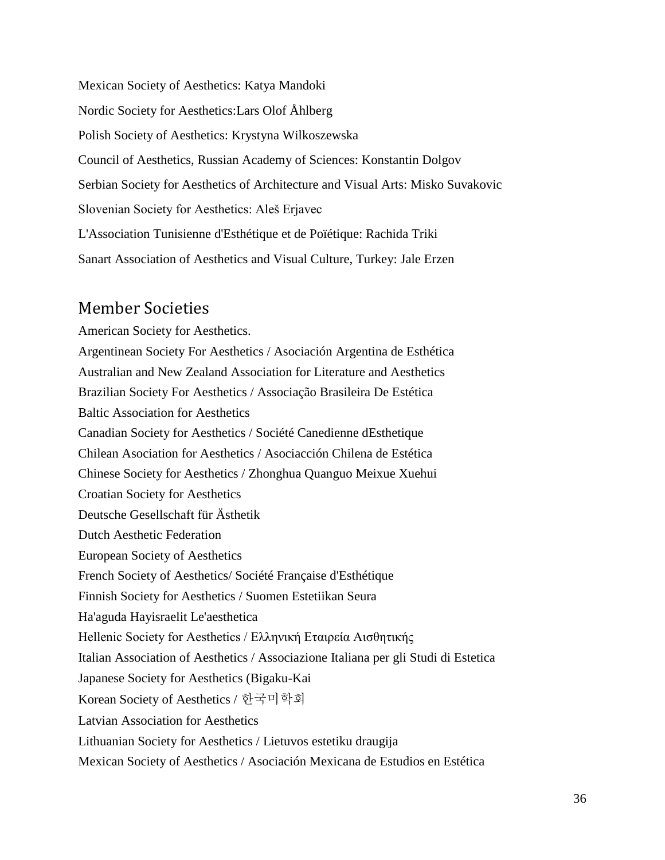Mexican Society of Aesthetics: Katya Mandoki Nordic Society for Aesthetics:Lars Olof Åhlberg Polish Society of Aesthetics: Krystyna Wilkoszewska Council of Aesthetics, Russian Academy of Sciences: Konstantin Dolgov Serbian Society for Aesthetics of Architecture and Visual Arts: Misko Suvakovic Slovenian Society for Aesthetics: Aleš Erjavec L'Association Tunisienne d'Esthétique et de Poïétique: Rachida Triki Sanart Association of Aesthetics and Visual Culture, Turkey: Jale Erzen

### Member Societies

American Society for Aesthetics. Argentinean Society For Aesthetics / Asociación Argentina de Esthética Australian and New Zealand Association for Literature and Aesthetics Brazilian Society For Aesthetics / Associação Brasileira De Estética Baltic Association for Aesthetics Canadian Society for Aesthetics / Société Canedienne dEsthetique Chilean Asociation for Aesthetics / Asociacción Chilena de Estética Chinese Society for Aesthetics / Zhonghua Quanguo Meixue Xuehui Croatian Society for Aesthetics Deutsche Gesellschaft für Ästhetik Dutch Aesthetic Federation European Society of Aesthetics French Society of Aesthetics/ Société Française d'Esthétique Finnish Society for Aesthetics / Suomen Estetiikan Seura Ha'aguda Hayisraelit Le'aesthetica Hellenic Society for Aesthetics / Ελληνική Εταιρεία Αισθητικής Italian Association of Aesthetics / Associazione Italiana per gli Studi di Estetica Japanese Society for Aesthetics (Bigaku-Kai Korean Society of Aesthetics / 한국미학회 Latvian Association for Aesthetics Lithuanian Society for Aesthetics / Lietuvos estetiku draugija Mexican Society of Aesthetics / Asociación Mexicana de Estudios en Estética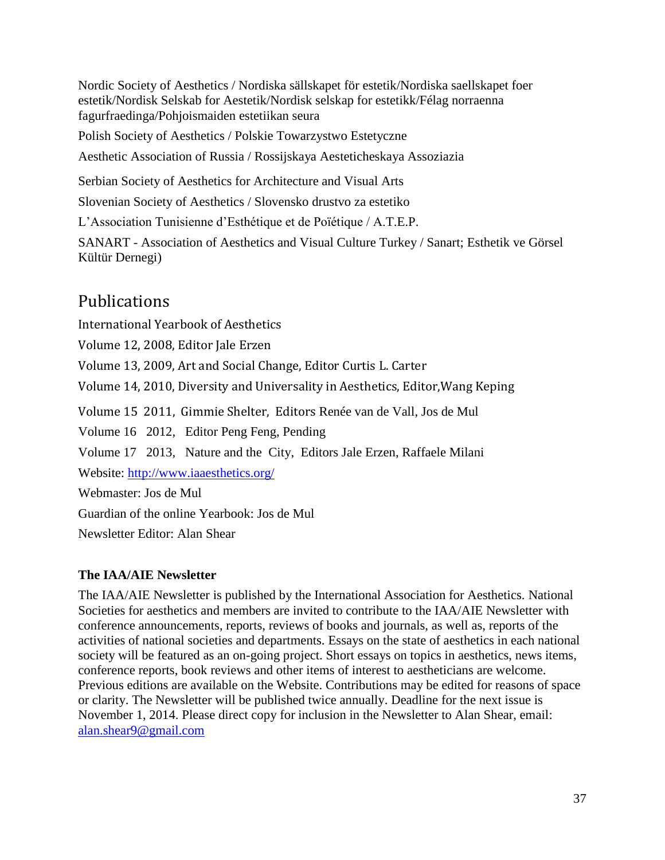Nordic Society of Aesthetics / Nordiska sällskapet för estetik/Nordiska saellskapet foer estetik/Nordisk Selskab for Aestetik/Nordisk selskap for estetikk/Félag norraenna fagurfraedinga/Pohjoismaiden estetiikan seura

Polish Society of Aesthetics / Polskie Towarzystwo Estetyczne

Aesthetic Association of Russia / Rossijskaya Aesteticheskaya Assoziazia

Serbian Society of Aesthetics for Architecture and Visual Arts

Slovenian Society of Aesthetics / Slovensko drustvo za estetiko

L'Association Tunisienne d'Esthétique et de Poïétique / A.T.E.P.

SANART - Association of Aesthetics and Visual Culture Turkey / Sanart; Esthetik ve Görsel Kültür Dernegi)

## Publications

International Yearbook of Aesthetics

Volume 12, 2008, Editor Jale Erzen

Volume 13, 2009, Art and Social Change, Editor Curtis L. Carter

Volume 14, 2010, Diversity and Universality in Aesthetics, Editor,Wang Keping

Volume 15 2011, Gimmie Shelter, Editors Renée van de Vall, Jos de Mul

Volume 16 2012, Editor Peng Feng, Pending

Volume 17 2013, Nature and the City, Editors Jale Erzen, Raffaele Milani

Website:<http://www.iaaesthetics.org/>

Webmaster: Jos de Mul

Guardian of the online Yearbook: Jos de Mul

Newsletter Editor: Alan Shear

### **The IAA/AIE Newsletter**

The IAA/AIE Newsletter is published by the International Association for Aesthetics. National Societies for aesthetics and members are invited to contribute to the IAA/AIE Newsletter with conference announcements, reports, reviews of books and journals, as well as, reports of the activities of national societies and departments. Essays on the state of aesthetics in each national society will be featured as an on-going project. Short essays on topics in aesthetics, news items, conference reports, book reviews and other items of interest to aestheticians are welcome. Previous editions are available on the Website. Contributions may be edited for reasons of space or clarity. The Newsletter will be published twice annually. Deadline for the next issue is November 1, 2014. Please direct copy for inclusion in the Newsletter to Alan Shear, email: [alan.shear9@gmail.com](mailto:alan.shear9@gmail.com)